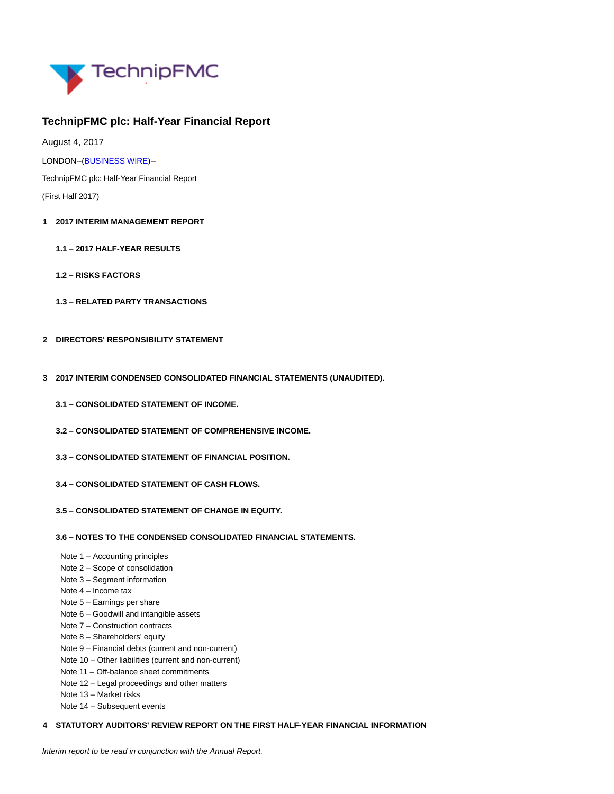

# **TechnipFMC plc: Half-Year Financial Report**

August 4, 2017

LONDON--[\(BUSINESS WIRE\)-](https://www.businesswire.com/)-

TechnipFMC plc: Half-Year Financial Report (First Half 2017)

- **1 2017 INTERIM MANAGEMENT REPORT**
	- **1.1 2017 HALF-YEAR RESULTS**
	- **1.2 RISKS FACTORS**
	- **1.3 RELATED PARTY TRANSACTIONS**
- **2 DIRECTORS' RESPONSIBILITY STATEMENT**
- **3 2017 INTERIM CONDENSED CONSOLIDATED FINANCIAL STATEMENTS (UNAUDITED).**
	- **3.1 CONSOLIDATED STATEMENT OF INCOME.**
	- **3.2 CONSOLIDATED STATEMENT OF COMPREHENSIVE INCOME.**
	- **3.3 CONSOLIDATED STATEMENT OF FINANCIAL POSITION.**
	- **3.4 CONSOLIDATED STATEMENT OF CASH FLOWS.**
	- **3.5 CONSOLIDATED STATEMENT OF CHANGE IN EQUITY.**

# **3.6 – NOTES TO THE CONDENSED CONSOLIDATED FINANCIAL STATEMENTS.**

- Note 1 Accounting principles
- Note 2 Scope of consolidation
- Note 3 Segment information
- Note 4 Income tax
- Note 5 Earnings per share
- Note 6 Goodwill and intangible assets
- Note 7 Construction contracts
- Note 8 Shareholders' equity
- Note 9 Financial debts (current and non-current)
- Note 10 Other liabilities (current and non-current)
- Note 11 Off-balance sheet commitments
- Note 12 Legal proceedings and other matters
- Note 13 Market risks
- Note 14 Subsequent events

# **4 STATUTORY AUDITORS' REVIEW REPORT ON THE FIRST HALF-YEAR FINANCIAL INFORMATION**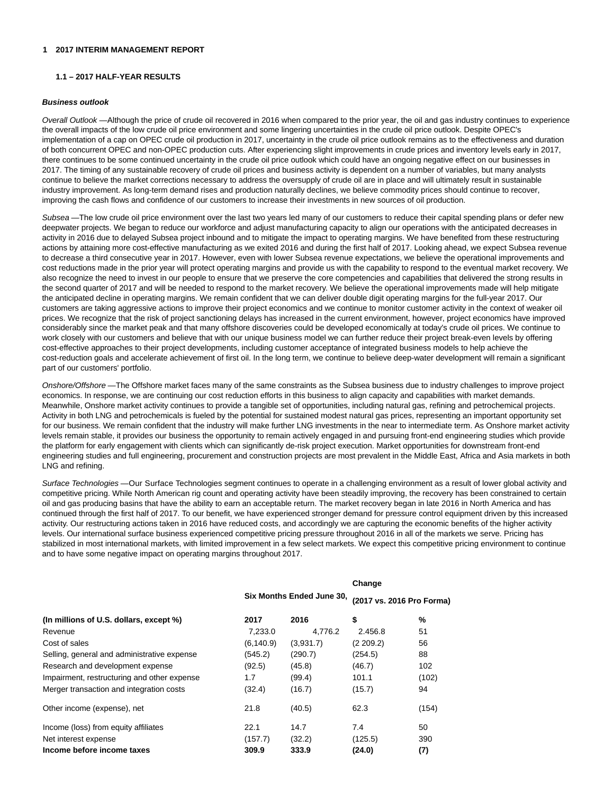# **1 2017 INTERIM MANAGEMENT REPORT**

# **1.1 – 2017 HALF-YEAR RESULTS**

#### **Business outlook**

Overall Outlook —Although the price of crude oil recovered in 2016 when compared to the prior year, the oil and gas industry continues to experience the overall impacts of the low crude oil price environment and some lingering uncertainties in the crude oil price outlook. Despite OPEC's implementation of a cap on OPEC crude oil production in 2017, uncertainty in the crude oil price outlook remains as to the effectiveness and duration of both concurrent OPEC and non-OPEC production cuts. After experiencing slight improvements in crude prices and inventory levels early in 2017, there continues to be some continued uncertainty in the crude oil price outlook which could have an ongoing negative effect on our businesses in 2017. The timing of any sustainable recovery of crude oil prices and business activity is dependent on a number of variables, but many analysts continue to believe the market corrections necessary to address the oversupply of crude oil are in place and will ultimately result in sustainable industry improvement. As long-term demand rises and production naturally declines, we believe commodity prices should continue to recover, improving the cash flows and confidence of our customers to increase their investments in new sources of oil production.

Subsea —The low crude oil price environment over the last two years led many of our customers to reduce their capital spending plans or defer new deepwater projects. We began to reduce our workforce and adjust manufacturing capacity to align our operations with the anticipated decreases in activity in 2016 due to delayed Subsea project inbound and to mitigate the impact to operating margins. We have benefited from these restructuring actions by attaining more cost-effective manufacturing as we exited 2016 and during the first half of 2017. Looking ahead, we expect Subsea revenue to decrease a third consecutive year in 2017. However, even with lower Subsea revenue expectations, we believe the operational improvements and cost reductions made in the prior year will protect operating margins and provide us with the capability to respond to the eventual market recovery. We also recognize the need to invest in our people to ensure that we preserve the core competencies and capabilities that delivered the strong results in the second quarter of 2017 and will be needed to respond to the market recovery. We believe the operational improvements made will help mitigate the anticipated decline in operating margins. We remain confident that we can deliver double digit operating margins for the full-year 2017. Our customers are taking aggressive actions to improve their project economics and we continue to monitor customer activity in the context of weaker oil prices. We recognize that the risk of project sanctioning delays has increased in the current environment, however, project economics have improved considerably since the market peak and that many offshore discoveries could be developed economically at today's crude oil prices. We continue to work closely with our customers and believe that with our unique business model we can further reduce their project break-even levels by offering cost-effective approaches to their project developments, including customer acceptance of integrated business models to help achieve the cost-reduction goals and accelerate achievement of first oil. In the long term, we continue to believe deep-water development will remain a significant part of our customers' portfolio.

Onshore/Offshore -The Offshore market faces many of the same constraints as the Subsea business due to industry challenges to improve project economics. In response, we are continuing our cost reduction efforts in this business to align capacity and capabilities with market demands. Meanwhile, Onshore market activity continues to provide a tangible set of opportunities, including natural gas, refining and petrochemical projects. Activity in both LNG and petrochemicals is fueled by the potential for sustained modest natural gas prices, representing an important opportunity set for our business. We remain confident that the industry will make further LNG investments in the near to intermediate term. As Onshore market activity levels remain stable, it provides our business the opportunity to remain actively engaged in and pursuing front-end engineering studies which provide the platform for early engagement with clients which can significantly de-risk project execution. Market opportunities for downstream front-end engineering studies and full engineering, procurement and construction projects are most prevalent in the Middle East, Africa and Asia markets in both LNG and refining.

Surface Technologies - Our Surface Technologies segment continues to operate in a challenging environment as a result of lower global activity and competitive pricing. While North American rig count and operating activity have been steadily improving, the recovery has been constrained to certain oil and gas producing basins that have the ability to earn an acceptable return. The market recovery began in late 2016 in North America and has continued through the first half of 2017. To our benefit, we have experienced stronger demand for pressure control equipment driven by this increased activity. Our restructuring actions taken in 2016 have reduced costs, and accordingly we are capturing the economic benefits of the higher activity levels. Our international surface business experienced competitive pricing pressure throughout 2016 in all of the markets we serve. Pricing has stabilized in most international markets, with limited improvement in a few select markets. We expect this competitive pricing environment to continue and to have some negative impact on operating margins throughout 2017.

|                                             |                           |           | Change                    |       |  |
|---------------------------------------------|---------------------------|-----------|---------------------------|-------|--|
|                                             | Six Months Ended June 30, |           | (2017 vs. 2016 Pro Forma) |       |  |
| (In millions of U.S. dollars, except %)     | 2017                      | 2016      | \$                        | %     |  |
| Revenue                                     | 7,233.0                   | 4.776.2   | 2.456.8                   | 51    |  |
| Cost of sales                               | (6, 140.9)                | (3,931.7) | (2 209.2)                 | 56    |  |
| Selling, general and administrative expense | (545.2)                   | (290.7)   | (254.5)                   | 88    |  |
| Research and development expense            | (92.5)                    | (45.8)    | (46.7)                    | 102   |  |
| Impairment, restructuring and other expense | 1.7                       | (99.4)    | 101.1                     | (102) |  |
| Merger transaction and integration costs    | (32.4)                    | (16.7)    | (15.7)                    | 94    |  |
| Other income (expense), net                 | 21.8                      | (40.5)    | 62.3                      | (154) |  |
| Income (loss) from equity affiliates        | 22.1                      | 14.7      | 7.4                       | 50    |  |
| Net interest expense                        | (157.7)                   | (32.2)    | (125.5)                   | 390   |  |
| Income before income taxes                  | 309.9                     | 333.9     | (24.0)                    | (7)   |  |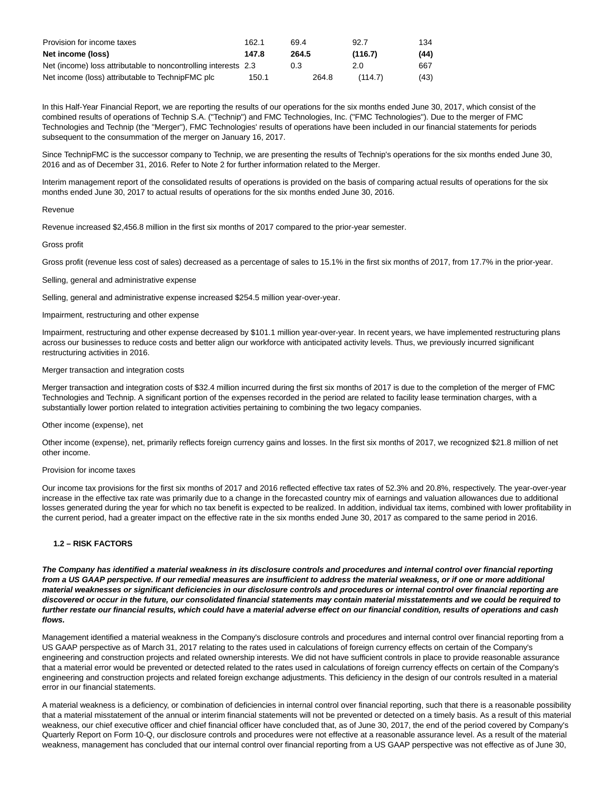| Provision for income taxes                                     | 162.1 | 69.4  | 92.7    | 134  |
|----------------------------------------------------------------|-------|-------|---------|------|
| Net income (loss)                                              | 147.8 | 264.5 | (116.7) | (44) |
| Net (income) loss attributable to noncontrolling interests 2.3 |       | 0.3   | 2.0     | 667  |
| Net income (loss) attributable to TechnipFMC plc               | 150.1 | 264.8 | (114.7) | (43) |

In this Half-Year Financial Report, we are reporting the results of our operations for the six months ended June 30, 2017, which consist of the combined results of operations of Technip S.A. ("Technip") and FMC Technologies, Inc. ("FMC Technologies"). Due to the merger of FMC Technologies and Technip (the "Merger"), FMC Technologies' results of operations have been included in our financial statements for periods subsequent to the consummation of the merger on January 16, 2017.

Since TechnipFMC is the successor company to Technip, we are presenting the results of Technip's operations for the six months ended June 30, 2016 and as of December 31, 2016. Refer to Note 2 for further information related to the Merger.

Interim management report of the consolidated results of operations is provided on the basis of comparing actual results of operations for the six months ended June 30, 2017 to actual results of operations for the six months ended June 30, 2016.

## Revenue

Revenue increased \$2,456.8 million in the first six months of 2017 compared to the prior-year semester.

#### Gross profit

Gross profit (revenue less cost of sales) decreased as a percentage of sales to 15.1% in the first six months of 2017, from 17.7% in the prior-year.

Selling, general and administrative expense

Selling, general and administrative expense increased \$254.5 million year-over-year.

# Impairment, restructuring and other expense

Impairment, restructuring and other expense decreased by \$101.1 million year-over-year. In recent years, we have implemented restructuring plans across our businesses to reduce costs and better align our workforce with anticipated activity levels. Thus, we previously incurred significant restructuring activities in 2016.

#### Merger transaction and integration costs

Merger transaction and integration costs of \$32.4 million incurred during the first six months of 2017 is due to the completion of the merger of FMC Technologies and Technip. A significant portion of the expenses recorded in the period are related to facility lease termination charges, with a substantially lower portion related to integration activities pertaining to combining the two legacy companies.

#### Other income (expense), net

Other income (expense), net, primarily reflects foreign currency gains and losses. In the first six months of 2017, we recognized \$21.8 million of net other income.

#### Provision for income taxes

Our income tax provisions for the first six months of 2017 and 2016 reflected effective tax rates of 52.3% and 20.8%, respectively. The year-over-year increase in the effective tax rate was primarily due to a change in the forecasted country mix of earnings and valuation allowances due to additional losses generated during the year for which no tax benefit is expected to be realized. In addition, individual tax items, combined with lower profitability in the current period, had a greater impact on the effective rate in the six months ended June 30, 2017 as compared to the same period in 2016.

# **1.2 – RISK FACTORS**

**The Company has identified a material weakness in its disclosure controls and procedures and internal control over financial reporting from a US GAAP perspective. If our remedial measures are insufficient to address the material weakness, or if one or more additional material weaknesses or significant deficiencies in our disclosure controls and procedures or internal control over financial reporting are discovered or occur in the future, our consolidated financial statements may contain material misstatements and we could be required to further restate our financial results, which could have a material adverse effect on our financial condition, results of operations and cash flows.**

Management identified a material weakness in the Company's disclosure controls and procedures and internal control over financial reporting from a US GAAP perspective as of March 31, 2017 relating to the rates used in calculations of foreign currency effects on certain of the Company's engineering and construction projects and related ownership interests. We did not have sufficient controls in place to provide reasonable assurance that a material error would be prevented or detected related to the rates used in calculations of foreign currency effects on certain of the Company's engineering and construction projects and related foreign exchange adjustments. This deficiency in the design of our controls resulted in a material error in our financial statements.

A material weakness is a deficiency, or combination of deficiencies in internal control over financial reporting, such that there is a reasonable possibility that a material misstatement of the annual or interim financial statements will not be prevented or detected on a timely basis. As a result of this material weakness, our chief executive officer and chief financial officer have concluded that, as of June 30, 2017, the end of the period covered by Company's Quarterly Report on Form 10-Q, our disclosure controls and procedures were not effective at a reasonable assurance level. As a result of the material weakness, management has concluded that our internal control over financial reporting from a US GAAP perspective was not effective as of June 30,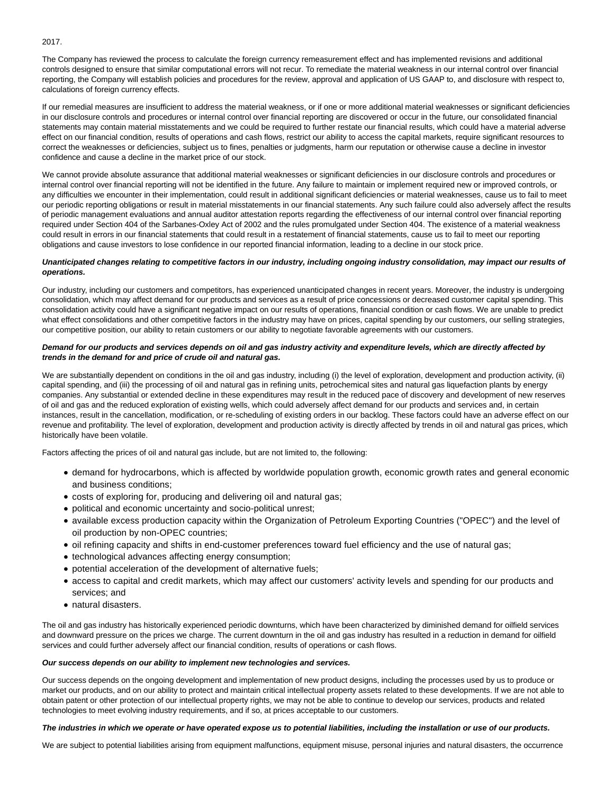# 2017.

The Company has reviewed the process to calculate the foreign currency remeasurement effect and has implemented revisions and additional controls designed to ensure that similar computational errors will not recur. To remediate the material weakness in our internal control over financial reporting, the Company will establish policies and procedures for the review, approval and application of US GAAP to, and disclosure with respect to, calculations of foreign currency effects.

If our remedial measures are insufficient to address the material weakness, or if one or more additional material weaknesses or significant deficiencies in our disclosure controls and procedures or internal control over financial reporting are discovered or occur in the future, our consolidated financial statements may contain material misstatements and we could be required to further restate our financial results, which could have a material adverse effect on our financial condition, results of operations and cash flows, restrict our ability to access the capital markets, require significant resources to correct the weaknesses or deficiencies, subject us to fines, penalties or judgments, harm our reputation or otherwise cause a decline in investor confidence and cause a decline in the market price of our stock.

We cannot provide absolute assurance that additional material weaknesses or significant deficiencies in our disclosure controls and procedures or internal control over financial reporting will not be identified in the future. Any failure to maintain or implement required new or improved controls, or any difficulties we encounter in their implementation, could result in additional significant deficiencies or material weaknesses, cause us to fail to meet our periodic reporting obligations or result in material misstatements in our financial statements. Any such failure could also adversely affect the results of periodic management evaluations and annual auditor attestation reports regarding the effectiveness of our internal control over financial reporting required under Section 404 of the Sarbanes-Oxley Act of 2002 and the rules promulgated under Section 404. The existence of a material weakness could result in errors in our financial statements that could result in a restatement of financial statements, cause us to fail to meet our reporting obligations and cause investors to lose confidence in our reported financial information, leading to a decline in our stock price.

# **Unanticipated changes relating to competitive factors in our industry, including ongoing industry consolidation, may impact our results of operations.**

Our industry, including our customers and competitors, has experienced unanticipated changes in recent years. Moreover, the industry is undergoing consolidation, which may affect demand for our products and services as a result of price concessions or decreased customer capital spending. This consolidation activity could have a significant negative impact on our results of operations, financial condition or cash flows. We are unable to predict what effect consolidations and other competitive factors in the industry may have on prices, capital spending by our customers, our selling strategies, our competitive position, our ability to retain customers or our ability to negotiate favorable agreements with our customers.

# **Demand for our products and services depends on oil and gas industry activity and expenditure levels, which are directly affected by trends in the demand for and price of crude oil and natural gas.**

We are substantially dependent on conditions in the oil and gas industry, including (i) the level of exploration, development and production activity, (ii) capital spending, and (iii) the processing of oil and natural gas in refining units, petrochemical sites and natural gas liquefaction plants by energy companies. Any substantial or extended decline in these expenditures may result in the reduced pace of discovery and development of new reserves of oil and gas and the reduced exploration of existing wells, which could adversely affect demand for our products and services and, in certain instances, result in the cancellation, modification, or re-scheduling of existing orders in our backlog. These factors could have an adverse effect on our revenue and profitability. The level of exploration, development and production activity is directly affected by trends in oil and natural gas prices, which historically have been volatile.

Factors affecting the prices of oil and natural gas include, but are not limited to, the following:

- demand for hydrocarbons, which is affected by worldwide population growth, economic growth rates and general economic and business conditions;
- costs of exploring for, producing and delivering oil and natural gas;
- political and economic uncertainty and socio-political unrest;
- available excess production capacity within the Organization of Petroleum Exporting Countries ("OPEC") and the level of oil production by non-OPEC countries;
- oil refining capacity and shifts in end-customer preferences toward fuel efficiency and the use of natural gas;
- technological advances affecting energy consumption;
- potential acceleration of the development of alternative fuels;
- access to capital and credit markets, which may affect our customers' activity levels and spending for our products and services; and
- natural disasters.

The oil and gas industry has historically experienced periodic downturns, which have been characterized by diminished demand for oilfield services and downward pressure on the prices we charge. The current downturn in the oil and gas industry has resulted in a reduction in demand for oilfield services and could further adversely affect our financial condition, results of operations or cash flows.

# **Our success depends on our ability to implement new technologies and services.**

Our success depends on the ongoing development and implementation of new product designs, including the processes used by us to produce or market our products, and on our ability to protect and maintain critical intellectual property assets related to these developments. If we are not able to obtain patent or other protection of our intellectual property rights, we may not be able to continue to develop our services, products and related technologies to meet evolving industry requirements, and if so, at prices acceptable to our customers.

#### **The industries in which we operate or have operated expose us to potential liabilities, including the installation or use of our products.**

We are subject to potential liabilities arising from equipment malfunctions, equipment misuse, personal injuries and natural disasters, the occurrence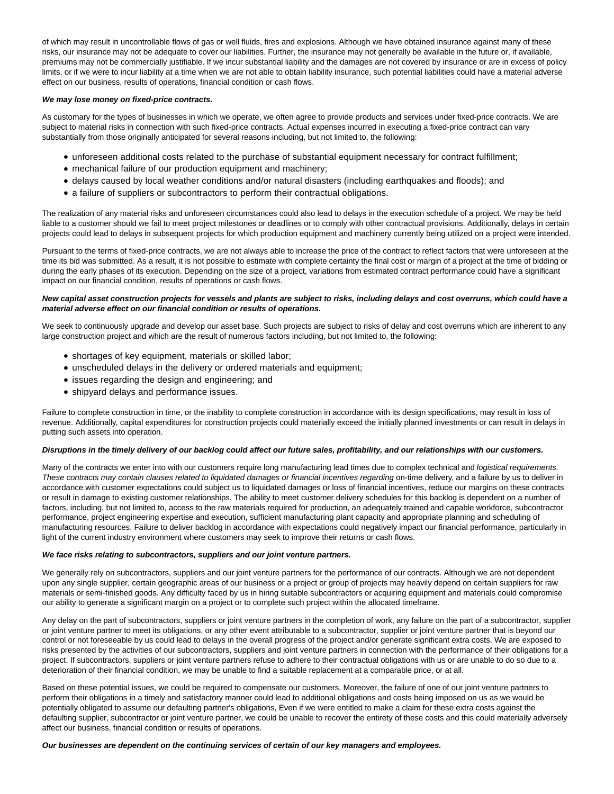of which may result in uncontrollable flows of gas or well fluids, fires and explosions. Although we have obtained insurance against many of these risks, our insurance may not be adequate to cover our liabilities. Further, the insurance may not generally be available in the future or, if available, premiums may not be commercially justifiable. If we incur substantial liability and the damages are not covered by insurance or are in excess of policy limits, or if we were to incur liability at a time when we are not able to obtain liability insurance, such potential liabilities could have a material adverse effect on our business, results of operations, financial condition or cash flows.

## **We may lose money on fixed-price contracts.**

As customary for the types of businesses in which we operate, we often agree to provide products and services under fixed-price contracts. We are subject to material risks in connection with such fixed-price contracts. Actual expenses incurred in executing a fixed-price contract can vary substantially from those originally anticipated for several reasons including, but not limited to, the following:

- unforeseen additional costs related to the purchase of substantial equipment necessary for contract fulfillment;
- mechanical failure of our production equipment and machinery;
- delays caused by local weather conditions and/or natural disasters (including earthquakes and floods); and
- a failure of suppliers or subcontractors to perform their contractual obligations.

The realization of any material risks and unforeseen circumstances could also lead to delays in the execution schedule of a project. We may be held liable to a customer should we fail to meet project milestones or deadlines or to comply with other contractual provisions. Additionally, delays in certain projects could lead to delays in subsequent projects for which production equipment and machinery currently being utilized on a project were intended.

Pursuant to the terms of fixed-price contracts, we are not always able to increase the price of the contract to reflect factors that were unforeseen at the time its bid was submitted. As a result, it is not possible to estimate with complete certainty the final cost or margin of a project at the time of bidding or during the early phases of its execution. Depending on the size of a project, variations from estimated contract performance could have a significant impact on our financial condition, results of operations or cash flows.

# **New capital asset construction projects for vessels and plants are subject to risks, including delays and cost overruns, which could have a material adverse effect on our financial condition or results of operations.**

We seek to continuously upgrade and develop our asset base. Such projects are subject to risks of delay and cost overruns which are inherent to any large construction project and which are the result of numerous factors including, but not limited to, the following:

- shortages of key equipment, materials or skilled labor;
- unscheduled delays in the delivery or ordered materials and equipment;
- issues regarding the design and engineering; and
- shipyard delays and performance issues.

Failure to complete construction in time, or the inability to complete construction in accordance with its design specifications, may result in loss of revenue. Additionally, capital expenditures for construction projects could materially exceed the initially planned investments or can result in delays in putting such assets into operation.

#### **Disruptions in the timely delivery of our backlog could affect our future sales, profitability, and our relationships with our customers.**

Many of the contracts we enter into with our customers require long manufacturing lead times due to complex technical and logistical requirements. These contracts may contain clauses related to liquidated damages or financial incentives regarding on-time delivery, and a failure by us to deliver in accordance with customer expectations could subject us to liquidated damages or loss of financial incentives, reduce our margins on these contracts or result in damage to existing customer relationships. The ability to meet customer delivery schedules for this backlog is dependent on a number of factors, including, but not limited to, access to the raw materials required for production, an adequately trained and capable workforce, subcontractor performance, project engineering expertise and execution, sufficient manufacturing plant capacity and appropriate planning and scheduling of manufacturing resources. Failure to deliver backlog in accordance with expectations could negatively impact our financial performance, particularly in light of the current industry environment where customers may seek to improve their returns or cash flows.

### **We face risks relating to subcontractors, suppliers and our joint venture partners.**

We generally rely on subcontractors, suppliers and our joint venture partners for the performance of our contracts. Although we are not dependent upon any single supplier, certain geographic areas of our business or a project or group of projects may heavily depend on certain suppliers for raw materials or semi-finished goods. Any difficulty faced by us in hiring suitable subcontractors or acquiring equipment and materials could compromise our ability to generate a significant margin on a project or to complete such project within the allocated timeframe.

Any delay on the part of subcontractors, suppliers or joint venture partners in the completion of work, any failure on the part of a subcontractor, supplier or joint venture partner to meet its obligations, or any other event attributable to a subcontractor, supplier or joint venture partner that is beyond our control or not foreseeable by us could lead to delays in the overall progress of the project and/or generate significant extra costs. We are exposed to risks presented by the activities of our subcontractors, suppliers and joint venture partners in connection with the performance of their obligations for a project. If subcontractors, suppliers or joint venture partners refuse to adhere to their contractual obligations with us or are unable to do so due to a deterioration of their financial condition, we may be unable to find a suitable replacement at a comparable price, or at all.

Based on these potential issues, we could be required to compensate our customers. Moreover, the failure of one of our joint venture partners to perform their obligations in a timely and satisfactory manner could lead to additional obligations and costs being imposed on us as we would be potentially obligated to assume our defaulting partner's obligations, Even if we were entitled to make a claim for these extra costs against the defaulting supplier, subcontractor or joint venture partner, we could be unable to recover the entirety of these costs and this could materially adversely affect our business, financial condition or results of operations.

#### **Our businesses are dependent on the continuing services of certain of our key managers and employees.**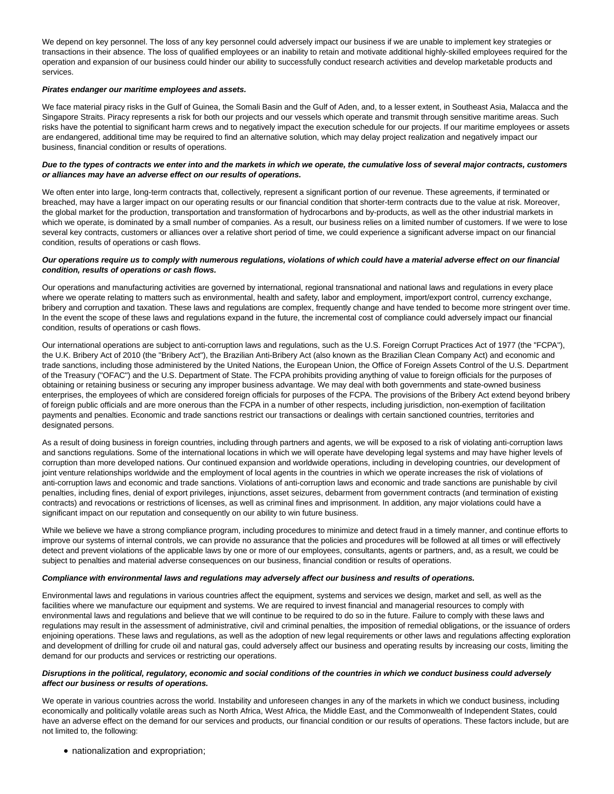We depend on key personnel. The loss of any key personnel could adversely impact our business if we are unable to implement key strategies or transactions in their absence. The loss of qualified employees or an inability to retain and motivate additional highly-skilled employees required for the operation and expansion of our business could hinder our ability to successfully conduct research activities and develop marketable products and services.

## **Pirates endanger our maritime employees and assets.**

We face material piracy risks in the Gulf of Guinea, the Somali Basin and the Gulf of Aden, and, to a lesser extent, in Southeast Asia, Malacca and the Singapore Straits. Piracy represents a risk for both our projects and our vessels which operate and transmit through sensitive maritime areas. Such risks have the potential to significant harm crews and to negatively impact the execution schedule for our projects. If our maritime employees or assets are endangered, additional time may be required to find an alternative solution, which may delay project realization and negatively impact our business, financial condition or results of operations.

# **Due to the types of contracts we enter into and the markets in which we operate, the cumulative loss of several major contracts, customers or alliances may have an adverse effect on our results of operations.**

We often enter into large, long-term contracts that, collectively, represent a significant portion of our revenue. These agreements, if terminated or breached, may have a larger impact on our operating results or our financial condition that shorter-term contracts due to the value at risk. Moreover, the global market for the production, transportation and transformation of hydrocarbons and by-products, as well as the other industrial markets in which we operate, is dominated by a small number of companies. As a result, our business relies on a limited number of customers. If we were to lose several key contracts, customers or alliances over a relative short period of time, we could experience a significant adverse impact on our financial condition, results of operations or cash flows.

# **Our operations require us to comply with numerous regulations, violations of which could have a material adverse effect on our financial condition, results of operations or cash flows.**

Our operations and manufacturing activities are governed by international, regional transnational and national laws and regulations in every place where we operate relating to matters such as environmental, health and safety, labor and employment, import/export control, currency exchange, bribery and corruption and taxation. These laws and regulations are complex, frequently change and have tended to become more stringent over time. In the event the scope of these laws and regulations expand in the future, the incremental cost of compliance could adversely impact our financial condition, results of operations or cash flows.

Our international operations are subject to anti-corruption laws and regulations, such as the U.S. Foreign Corrupt Practices Act of 1977 (the "FCPA"), the U.K. Bribery Act of 2010 (the "Bribery Act"), the Brazilian Anti-Bribery Act (also known as the Brazilian Clean Company Act) and economic and trade sanctions, including those administered by the United Nations, the European Union, the Office of Foreign Assets Control of the U.S. Department of the Treasury ("OFAC") and the U.S. Department of State. The FCPA prohibits providing anything of value to foreign officials for the purposes of obtaining or retaining business or securing any improper business advantage. We may deal with both governments and state-owned business enterprises, the employees of which are considered foreign officials for purposes of the FCPA. The provisions of the Bribery Act extend beyond bribery of foreign public officials and are more onerous than the FCPA in a number of other respects, including jurisdiction, non-exemption of facilitation payments and penalties. Economic and trade sanctions restrict our transactions or dealings with certain sanctioned countries, territories and designated persons.

As a result of doing business in foreign countries, including through partners and agents, we will be exposed to a risk of violating anti-corruption laws and sanctions regulations. Some of the international locations in which we will operate have developing legal systems and may have higher levels of corruption than more developed nations. Our continued expansion and worldwide operations, including in developing countries, our development of joint venture relationships worldwide and the employment of local agents in the countries in which we operate increases the risk of violations of anti-corruption laws and economic and trade sanctions. Violations of anti-corruption laws and economic and trade sanctions are punishable by civil penalties, including fines, denial of export privileges, injunctions, asset seizures, debarment from government contracts (and termination of existing contracts) and revocations or restrictions of licenses, as well as criminal fines and imprisonment. In addition, any major violations could have a significant impact on our reputation and consequently on our ability to win future business.

While we believe we have a strong compliance program, including procedures to minimize and detect fraud in a timely manner, and continue efforts to improve our systems of internal controls, we can provide no assurance that the policies and procedures will be followed at all times or will effectively detect and prevent violations of the applicable laws by one or more of our employees, consultants, agents or partners, and, as a result, we could be subject to penalties and material adverse consequences on our business, financial condition or results of operations.

#### **Compliance with environmental laws and regulations may adversely affect our business and results of operations.**

Environmental laws and regulations in various countries affect the equipment, systems and services we design, market and sell, as well as the facilities where we manufacture our equipment and systems. We are required to invest financial and managerial resources to comply with environmental laws and regulations and believe that we will continue to be required to do so in the future. Failure to comply with these laws and regulations may result in the assessment of administrative, civil and criminal penalties, the imposition of remedial obligations, or the issuance of orders enjoining operations. These laws and regulations, as well as the adoption of new legal requirements or other laws and regulations affecting exploration and development of drilling for crude oil and natural gas, could adversely affect our business and operating results by increasing our costs, limiting the demand for our products and services or restricting our operations.

# **Disruptions in the political, regulatory, economic and social conditions of the countries in which we conduct business could adversely affect our business or results of operations.**

We operate in various countries across the world. Instability and unforeseen changes in any of the markets in which we conduct business, including economically and politically volatile areas such as North Africa, West Africa, the Middle East, and the Commonwealth of Independent States, could have an adverse effect on the demand for our services and products, our financial condition or our results of operations. These factors include, but are not limited to, the following:

nationalization and expropriation;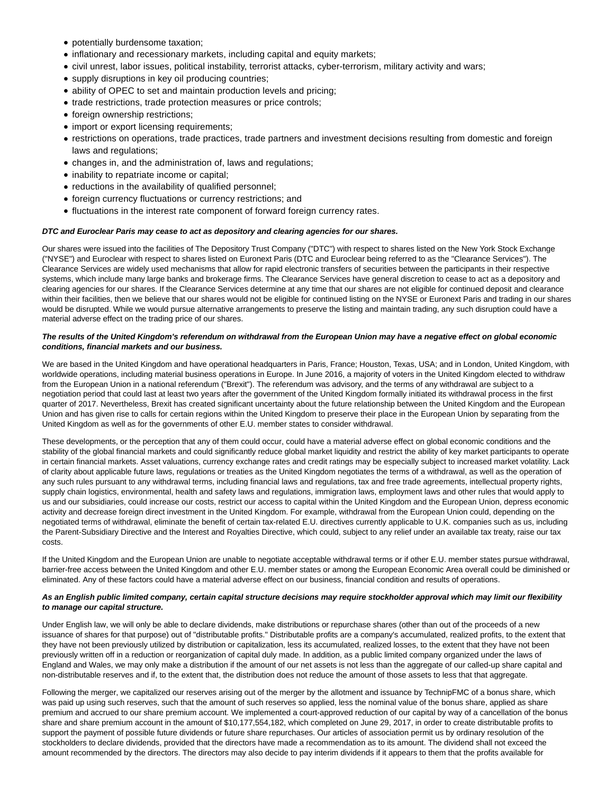- potentially burdensome taxation;
- inflationary and recessionary markets, including capital and equity markets;
- civil unrest, labor issues, political instability, terrorist attacks, cyber-terrorism, military activity and wars;
- supply disruptions in key oil producing countries;
- ability of OPEC to set and maintain production levels and pricing;
- trade restrictions, trade protection measures or price controls;
- foreign ownership restrictions;
- import or export licensing requirements;
- restrictions on operations, trade practices, trade partners and investment decisions resulting from domestic and foreign laws and regulations;
- changes in, and the administration of, laws and regulations;
- inability to repatriate income or capital;
- reductions in the availability of qualified personnel;
- foreign currency fluctuations or currency restrictions; and
- fluctuations in the interest rate component of forward foreign currency rates.

# **DTC and Euroclear Paris may cease to act as depository and clearing agencies for our shares.**

Our shares were issued into the facilities of The Depository Trust Company ("DTC") with respect to shares listed on the New York Stock Exchange ("NYSE") and Euroclear with respect to shares listed on Euronext Paris (DTC and Euroclear being referred to as the "Clearance Services"). The Clearance Services are widely used mechanisms that allow for rapid electronic transfers of securities between the participants in their respective systems, which include many large banks and brokerage firms. The Clearance Services have general discretion to cease to act as a depository and clearing agencies for our shares. If the Clearance Services determine at any time that our shares are not eligible for continued deposit and clearance within their facilities, then we believe that our shares would not be eligible for continued listing on the NYSE or Euronext Paris and trading in our shares would be disrupted. While we would pursue alternative arrangements to preserve the listing and maintain trading, any such disruption could have a material adverse effect on the trading price of our shares.

# **The results of the United Kingdom's referendum on withdrawal from the European Union may have a negative effect on global economic conditions, financial markets and our business.**

We are based in the United Kingdom and have operational headquarters in Paris, France; Houston, Texas, USA; and in London, United Kingdom, with worldwide operations, including material business operations in Europe. In June 2016, a majority of voters in the United Kingdom elected to withdraw from the European Union in a national referendum ("Brexit"). The referendum was advisory, and the terms of any withdrawal are subject to a negotiation period that could last at least two years after the government of the United Kingdom formally initiated its withdrawal process in the first quarter of 2017. Nevertheless, Brexit has created significant uncertainty about the future relationship between the United Kingdom and the European Union and has given rise to calls for certain regions within the United Kingdom to preserve their place in the European Union by separating from the United Kingdom as well as for the governments of other E.U. member states to consider withdrawal.

These developments, or the perception that any of them could occur, could have a material adverse effect on global economic conditions and the stability of the global financial markets and could significantly reduce global market liquidity and restrict the ability of key market participants to operate in certain financial markets. Asset valuations, currency exchange rates and credit ratings may be especially subject to increased market volatility. Lack of clarity about applicable future laws, regulations or treaties as the United Kingdom negotiates the terms of a withdrawal, as well as the operation of any such rules pursuant to any withdrawal terms, including financial laws and regulations, tax and free trade agreements, intellectual property rights, supply chain logistics, environmental, health and safety laws and regulations, immigration laws, employment laws and other rules that would apply to us and our subsidiaries, could increase our costs, restrict our access to capital within the United Kingdom and the European Union, depress economic activity and decrease foreign direct investment in the United Kingdom. For example, withdrawal from the European Union could, depending on the negotiated terms of withdrawal, eliminate the benefit of certain tax-related E.U. directives currently applicable to U.K. companies such as us, including the Parent-Subsidiary Directive and the Interest and Royalties Directive, which could, subject to any relief under an available tax treaty, raise our tax costs.

If the United Kingdom and the European Union are unable to negotiate acceptable withdrawal terms or if other E.U. member states pursue withdrawal, barrier-free access between the United Kingdom and other E.U. member states or among the European Economic Area overall could be diminished or eliminated. Any of these factors could have a material adverse effect on our business, financial condition and results of operations.

# **As an English public limited company, certain capital structure decisions may require stockholder approval which may limit our flexibility to manage our capital structure.**

Under English law, we will only be able to declare dividends, make distributions or repurchase shares (other than out of the proceeds of a new issuance of shares for that purpose) out of "distributable profits." Distributable profits are a company's accumulated, realized profits, to the extent that they have not been previously utilized by distribution or capitalization, less its accumulated, realized losses, to the extent that they have not been previously written off in a reduction or reorganization of capital duly made. In addition, as a public limited company organized under the laws of England and Wales, we may only make a distribution if the amount of our net assets is not less than the aggregate of our called-up share capital and non-distributable reserves and if, to the extent that, the distribution does not reduce the amount of those assets to less that that aggregate.

Following the merger, we capitalized our reserves arising out of the merger by the allotment and issuance by TechnipFMC of a bonus share, which was paid up using such reserves, such that the amount of such reserves so applied, less the nominal value of the bonus share, applied as share premium and accrued to our share premium account. We implemented a court-approved reduction of our capital by way of a cancellation of the bonus share and share premium account in the amount of \$10,177,554,182, which completed on June 29, 2017, in order to create distributable profits to support the payment of possible future dividends or future share repurchases. Our articles of association permit us by ordinary resolution of the stockholders to declare dividends, provided that the directors have made a recommendation as to its amount. The dividend shall not exceed the amount recommended by the directors. The directors may also decide to pay interim dividends if it appears to them that the profits available for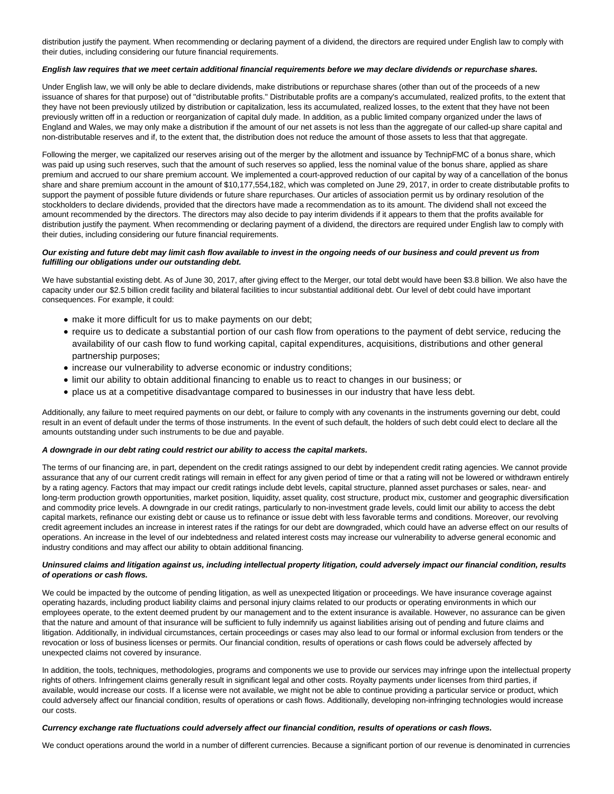distribution justify the payment. When recommending or declaring payment of a dividend, the directors are required under English law to comply with their duties, including considering our future financial requirements.

## **English law requires that we meet certain additional financial requirements before we may declare dividends or repurchase shares.**

Under English law, we will only be able to declare dividends, make distributions or repurchase shares (other than out of the proceeds of a new issuance of shares for that purpose) out of "distributable profits." Distributable profits are a company's accumulated, realized profits, to the extent that they have not been previously utilized by distribution or capitalization, less its accumulated, realized losses, to the extent that they have not been previously written off in a reduction or reorganization of capital duly made. In addition, as a public limited company organized under the laws of England and Wales, we may only make a distribution if the amount of our net assets is not less than the aggregate of our called-up share capital and non-distributable reserves and if, to the extent that, the distribution does not reduce the amount of those assets to less that that aggregate.

Following the merger, we capitalized our reserves arising out of the merger by the allotment and issuance by TechnipFMC of a bonus share, which was paid up using such reserves, such that the amount of such reserves so applied, less the nominal value of the bonus share, applied as share premium and accrued to our share premium account. We implemented a court-approved reduction of our capital by way of a cancellation of the bonus share and share premium account in the amount of \$10,177,554,182, which was completed on June 29, 2017, in order to create distributable profits to support the payment of possible future dividends or future share repurchases. Our articles of association permit us by ordinary resolution of the stockholders to declare dividends, provided that the directors have made a recommendation as to its amount. The dividend shall not exceed the amount recommended by the directors. The directors may also decide to pay interim dividends if it appears to them that the profits available for distribution justify the payment. When recommending or declaring payment of a dividend, the directors are required under English law to comply with their duties, including considering our future financial requirements.

# **Our existing and future debt may limit cash flow available to invest in the ongoing needs of our business and could prevent us from fulfilling our obligations under our outstanding debt.**

We have substantial existing debt. As of June 30, 2017, after giving effect to the Merger, our total debt would have been \$3.8 billion. We also have the capacity under our \$2.5 billion credit facility and bilateral facilities to incur substantial additional debt. Our level of debt could have important consequences. For example, it could:

- make it more difficult for us to make payments on our debt;
- require us to dedicate a substantial portion of our cash flow from operations to the payment of debt service, reducing the availability of our cash flow to fund working capital, capital expenditures, acquisitions, distributions and other general partnership purposes;
- increase our vulnerability to adverse economic or industry conditions;
- limit our ability to obtain additional financing to enable us to react to changes in our business; or
- place us at a competitive disadvantage compared to businesses in our industry that have less debt.

Additionally, any failure to meet required payments on our debt, or failure to comply with any covenants in the instruments governing our debt, could result in an event of default under the terms of those instruments. In the event of such default, the holders of such debt could elect to declare all the amounts outstanding under such instruments to be due and payable.

#### **A downgrade in our debt rating could restrict our ability to access the capital markets.**

The terms of our financing are, in part, dependent on the credit ratings assigned to our debt by independent credit rating agencies. We cannot provide assurance that any of our current credit ratings will remain in effect for any given period of time or that a rating will not be lowered or withdrawn entirely by a rating agency. Factors that may impact our credit ratings include debt levels, capital structure, planned asset purchases or sales, near- and long-term production growth opportunities, market position, liquidity, asset quality, cost structure, product mix, customer and geographic diversification and commodity price levels. A downgrade in our credit ratings, particularly to non-investment grade levels, could limit our ability to access the debt capital markets, refinance our existing debt or cause us to refinance or issue debt with less favorable terms and conditions. Moreover, our revolving credit agreement includes an increase in interest rates if the ratings for our debt are downgraded, which could have an adverse effect on our results of operations. An increase in the level of our indebtedness and related interest costs may increase our vulnerability to adverse general economic and industry conditions and may affect our ability to obtain additional financing.

# **Uninsured claims and litigation against us, including intellectual property litigation, could adversely impact our financial condition, results of operations or cash flows.**

We could be impacted by the outcome of pending litigation, as well as unexpected litigation or proceedings. We have insurance coverage against operating hazards, including product liability claims and personal injury claims related to our products or operating environments in which our employees operate, to the extent deemed prudent by our management and to the extent insurance is available. However, no assurance can be given that the nature and amount of that insurance will be sufficient to fully indemnify us against liabilities arising out of pending and future claims and litigation. Additionally, in individual circumstances, certain proceedings or cases may also lead to our formal or informal exclusion from tenders or the revocation or loss of business licenses or permits. Our financial condition, results of operations or cash flows could be adversely affected by unexpected claims not covered by insurance.

In addition, the tools, techniques, methodologies, programs and components we use to provide our services may infringe upon the intellectual property rights of others. Infringement claims generally result in significant legal and other costs. Royalty payments under licenses from third parties, if available, would increase our costs. If a license were not available, we might not be able to continue providing a particular service or product, which could adversely affect our financial condition, results of operations or cash flows. Additionally, developing non-infringing technologies would increase our costs.

### **Currency exchange rate fluctuations could adversely affect our financial condition, results of operations or cash flows.**

We conduct operations around the world in a number of different currencies. Because a significant portion of our revenue is denominated in currencies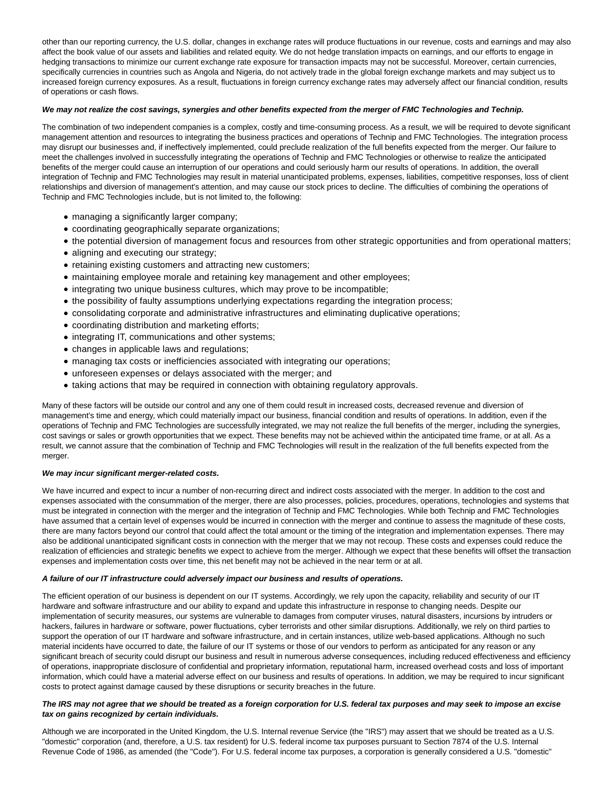other than our reporting currency, the U.S. dollar, changes in exchange rates will produce fluctuations in our revenue, costs and earnings and may also affect the book value of our assets and liabilities and related equity. We do not hedge translation impacts on earnings, and our efforts to engage in hedging transactions to minimize our current exchange rate exposure for transaction impacts may not be successful. Moreover, certain currencies, specifically currencies in countries such as Angola and Nigeria, do not actively trade in the global foreign exchange markets and may subject us to increased foreign currency exposures. As a result, fluctuations in foreign currency exchange rates may adversely affect our financial condition, results of operations or cash flows.

# **We may not realize the cost savings, synergies and other benefits expected from the merger of FMC Technologies and Technip.**

The combination of two independent companies is a complex, costly and time-consuming process. As a result, we will be required to devote significant management attention and resources to integrating the business practices and operations of Technip and FMC Technologies. The integration process may disrupt our businesses and, if ineffectively implemented, could preclude realization of the full benefits expected from the merger. Our failure to meet the challenges involved in successfully integrating the operations of Technip and FMC Technologies or otherwise to realize the anticipated benefits of the merger could cause an interruption of our operations and could seriously harm our results of operations. In addition, the overall integration of Technip and FMC Technologies may result in material unanticipated problems, expenses, liabilities, competitive responses, loss of client relationships and diversion of management's attention, and may cause our stock prices to decline. The difficulties of combining the operations of Technip and FMC Technologies include, but is not limited to, the following:

- managing a significantly larger company;
- coordinating geographically separate organizations;
- the potential diversion of management focus and resources from other strategic opportunities and from operational matters;
- aligning and executing our strategy;
- retaining existing customers and attracting new customers;
- maintaining employee morale and retaining key management and other employees;
- integrating two unique business cultures, which may prove to be incompatible;
- the possibility of faulty assumptions underlying expectations regarding the integration process;
- consolidating corporate and administrative infrastructures and eliminating duplicative operations;
- coordinating distribution and marketing efforts;
- integrating IT, communications and other systems;
- changes in applicable laws and regulations;
- managing tax costs or inefficiencies associated with integrating our operations;
- unforeseen expenses or delays associated with the merger; and
- taking actions that may be required in connection with obtaining regulatory approvals.

Many of these factors will be outside our control and any one of them could result in increased costs, decreased revenue and diversion of management's time and energy, which could materially impact our business, financial condition and results of operations. In addition, even if the operations of Technip and FMC Technologies are successfully integrated, we may not realize the full benefits of the merger, including the synergies, cost savings or sales or growth opportunities that we expect. These benefits may not be achieved within the anticipated time frame, or at all. As a result, we cannot assure that the combination of Technip and FMC Technologies will result in the realization of the full benefits expected from the merger.

#### **We may incur significant merger-related costs.**

We have incurred and expect to incur a number of non-recurring direct and indirect costs associated with the merger. In addition to the cost and expenses associated with the consummation of the merger, there are also processes, policies, procedures, operations, technologies and systems that must be integrated in connection with the merger and the integration of Technip and FMC Technologies. While both Technip and FMC Technologies have assumed that a certain level of expenses would be incurred in connection with the merger and continue to assess the magnitude of these costs, there are many factors beyond our control that could affect the total amount or the timing of the integration and implementation expenses. There may also be additional unanticipated significant costs in connection with the merger that we may not recoup. These costs and expenses could reduce the realization of efficiencies and strategic benefits we expect to achieve from the merger. Although we expect that these benefits will offset the transaction expenses and implementation costs over time, this net benefit may not be achieved in the near term or at all.

#### **A failure of our IT infrastructure could adversely impact our business and results of operations.**

The efficient operation of our business is dependent on our IT systems. Accordingly, we rely upon the capacity, reliability and security of our IT hardware and software infrastructure and our ability to expand and update this infrastructure in response to changing needs. Despite our implementation of security measures, our systems are vulnerable to damages from computer viruses, natural disasters, incursions by intruders or hackers, failures in hardware or software, power fluctuations, cyber terrorists and other similar disruptions. Additionally, we rely on third parties to support the operation of our IT hardware and software infrastructure, and in certain instances, utilize web-based applications. Although no such material incidents have occurred to date, the failure of our IT systems or those of our vendors to perform as anticipated for any reason or any significant breach of security could disrupt our business and result in numerous adverse consequences, including reduced effectiveness and efficiency of operations, inappropriate disclosure of confidential and proprietary information, reputational harm, increased overhead costs and loss of important information, which could have a material adverse effect on our business and results of operations. In addition, we may be required to incur significant costs to protect against damage caused by these disruptions or security breaches in the future.

# **The IRS may not agree that we should be treated as a foreign corporation for U.S. federal tax purposes and may seek to impose an excise tax on gains recognized by certain individuals.**

Although we are incorporated in the United Kingdom, the U.S. Internal revenue Service (the "IRS") may assert that we should be treated as a U.S. "domestic" corporation (and, therefore, a U.S. tax resident) for U.S. federal income tax purposes pursuant to Section 7874 of the U.S. Internal Revenue Code of 1986, as amended (the "Code"). For U.S. federal income tax purposes, a corporation is generally considered a U.S. "domestic"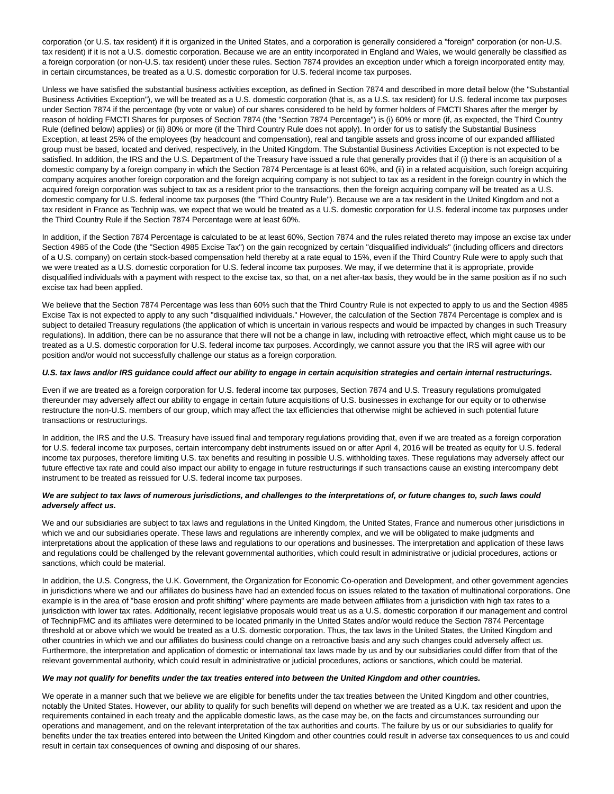corporation (or U.S. tax resident) if it is organized in the United States, and a corporation is generally considered a "foreign" corporation (or non-U.S. tax resident) if it is not a U.S. domestic corporation. Because we are an entity incorporated in England and Wales, we would generally be classified as a foreign corporation (or non-U.S. tax resident) under these rules. Section 7874 provides an exception under which a foreign incorporated entity may, in certain circumstances, be treated as a U.S. domestic corporation for U.S. federal income tax purposes.

Unless we have satisfied the substantial business activities exception, as defined in Section 7874 and described in more detail below (the "Substantial Business Activities Exception"), we will be treated as a U.S. domestic corporation (that is, as a U.S. tax resident) for U.S. federal income tax purposes under Section 7874 if the percentage (by vote or value) of our shares considered to be held by former holders of FMCTI Shares after the merger by reason of holding FMCTI Shares for purposes of Section 7874 (the "Section 7874 Percentage") is (i) 60% or more (if, as expected, the Third Country Rule (defined below) applies) or (ii) 80% or more (if the Third Country Rule does not apply). In order for us to satisfy the Substantial Business Exception, at least 25% of the employees (by headcount and compensation), real and tangible assets and gross income of our expanded affiliated group must be based, located and derived, respectively, in the United Kingdom. The Substantial Business Activities Exception is not expected to be satisfied. In addition, the IRS and the U.S. Department of the Treasury have issued a rule that generally provides that if (i) there is an acquisition of a domestic company by a foreign company in which the Section 7874 Percentage is at least 60%, and (ii) in a related acquisition, such foreign acquiring company acquires another foreign corporation and the foreign acquiring company is not subject to tax as a resident in the foreign country in which the acquired foreign corporation was subject to tax as a resident prior to the transactions, then the foreign acquiring company will be treated as a U.S. domestic company for U.S. federal income tax purposes (the "Third Country Rule"). Because we are a tax resident in the United Kingdom and not a tax resident in France as Technip was, we expect that we would be treated as a U.S. domestic corporation for U.S. federal income tax purposes under the Third Country Rule if the Section 7874 Percentage were at least 60%.

In addition, if the Section 7874 Percentage is calculated to be at least 60%, Section 7874 and the rules related thereto may impose an excise tax under Section 4985 of the Code (the "Section 4985 Excise Tax") on the gain recognized by certain "disqualified individuals" (including officers and directors of a U.S. company) on certain stock-based compensation held thereby at a rate equal to 15%, even if the Third Country Rule were to apply such that we were treated as a U.S. domestic corporation for U.S. federal income tax purposes. We may, if we determine that it is appropriate, provide disqualified individuals with a payment with respect to the excise tax, so that, on a net after-tax basis, they would be in the same position as if no such excise tax had been applied.

We believe that the Section 7874 Percentage was less than 60% such that the Third Country Rule is not expected to apply to us and the Section 4985 Excise Tax is not expected to apply to any such "disqualified individuals." However, the calculation of the Section 7874 Percentage is complex and is subject to detailed Treasury regulations (the application of which is uncertain in various respects and would be impacted by changes in such Treasury regulations). In addition, there can be no assurance that there will not be a change in law, including with retroactive effect, which might cause us to be treated as a U.S. domestic corporation for U.S. federal income tax purposes. Accordingly, we cannot assure you that the IRS will agree with our position and/or would not successfully challenge our status as a foreign corporation.

#### **U.S. tax laws and/or IRS guidance could affect our ability to engage in certain acquisition strategies and certain internal restructurings.**

Even if we are treated as a foreign corporation for U.S. federal income tax purposes, Section 7874 and U.S. Treasury regulations promulgated thereunder may adversely affect our ability to engage in certain future acquisitions of U.S. businesses in exchange for our equity or to otherwise restructure the non-U.S. members of our group, which may affect the tax efficiencies that otherwise might be achieved in such potential future transactions or restructurings.

In addition, the IRS and the U.S. Treasury have issued final and temporary regulations providing that, even if we are treated as a foreign corporation for U.S. federal income tax purposes, certain intercompany debt instruments issued on or after April 4, 2016 will be treated as equity for U.S. federal income tax purposes, therefore limiting U.S. tax benefits and resulting in possible U.S. withholding taxes. These regulations may adversely affect our future effective tax rate and could also impact our ability to engage in future restructurings if such transactions cause an existing intercompany debt instrument to be treated as reissued for U.S. federal income tax purposes.

# **We are subject to tax laws of numerous jurisdictions, and challenges to the interpretations of, or future changes to, such laws could adversely affect us.**

We and our subsidiaries are subject to tax laws and regulations in the United Kingdom, the United States, France and numerous other jurisdictions in which we and our subsidiaries operate. These laws and regulations are inherently complex, and we will be obligated to make judgments and interpretations about the application of these laws and regulations to our operations and businesses. The interpretation and application of these laws and regulations could be challenged by the relevant governmental authorities, which could result in administrative or judicial procedures, actions or sanctions, which could be material.

In addition, the U.S. Congress, the U.K. Government, the Organization for Economic Co-operation and Development, and other government agencies in jurisdictions where we and our affiliates do business have had an extended focus on issues related to the taxation of multinational corporations. One example is in the area of "base erosion and profit shifting" where payments are made between affiliates from a jurisdiction with high tax rates to a jurisdiction with lower tax rates. Additionally, recent legislative proposals would treat us as a U.S. domestic corporation if our management and control of TechnipFMC and its affiliates were determined to be located primarily in the United States and/or would reduce the Section 7874 Percentage threshold at or above which we would be treated as a U.S. domestic corporation. Thus, the tax laws in the United States, the United Kingdom and other countries in which we and our affiliates do business could change on a retroactive basis and any such changes could adversely affect us. Furthermore, the interpretation and application of domestic or international tax laws made by us and by our subsidiaries could differ from that of the relevant governmental authority, which could result in administrative or judicial procedures, actions or sanctions, which could be material.

#### **We may not qualify for benefits under the tax treaties entered into between the United Kingdom and other countries.**

We operate in a manner such that we believe we are eligible for benefits under the tax treaties between the United Kingdom and other countries, notably the United States. However, our ability to qualify for such benefits will depend on whether we are treated as a U.K. tax resident and upon the requirements contained in each treaty and the applicable domestic laws, as the case may be, on the facts and circumstances surrounding our operations and management, and on the relevant interpretation of the tax authorities and courts. The failure by us or our subsidiaries to qualify for benefits under the tax treaties entered into between the United Kingdom and other countries could result in adverse tax consequences to us and could result in certain tax consequences of owning and disposing of our shares.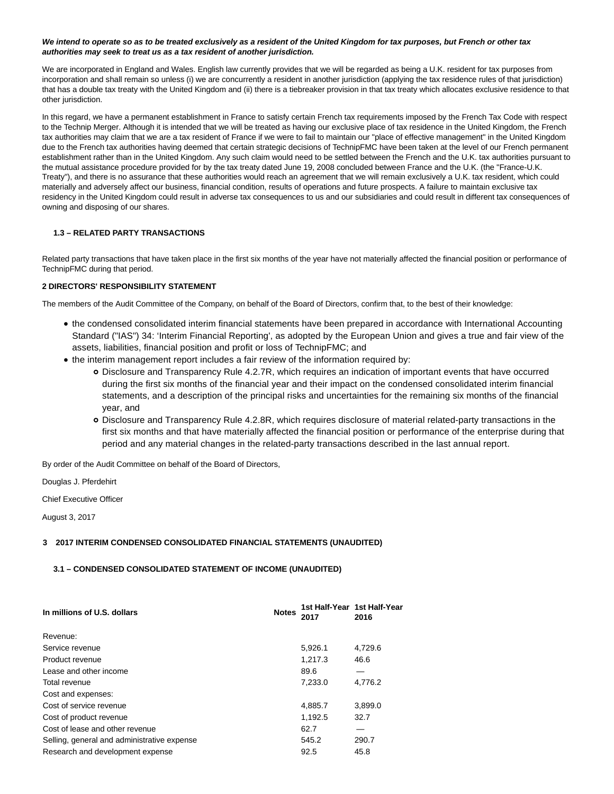# **We intend to operate so as to be treated exclusively as a resident of the United Kingdom for tax purposes, but French or other tax authorities may seek to treat us as a tax resident of another jurisdiction.**

We are incorporated in England and Wales. English law currently provides that we will be regarded as being a U.K. resident for tax purposes from incorporation and shall remain so unless (i) we are concurrently a resident in another jurisdiction (applying the tax residence rules of that jurisdiction) that has a double tax treaty with the United Kingdom and (ii) there is a tiebreaker provision in that tax treaty which allocates exclusive residence to that other jurisdiction.

In this regard, we have a permanent establishment in France to satisfy certain French tax requirements imposed by the French Tax Code with respect to the Technip Merger. Although it is intended that we will be treated as having our exclusive place of tax residence in the United Kingdom, the French tax authorities may claim that we are a tax resident of France if we were to fail to maintain our "place of effective management" in the United Kingdom due to the French tax authorities having deemed that certain strategic decisions of TechnipFMC have been taken at the level of our French permanent establishment rather than in the United Kingdom. Any such claim would need to be settled between the French and the U.K. tax authorities pursuant to the mutual assistance procedure provided for by the tax treaty dated June 19, 2008 concluded between France and the U.K. (the "France-U.K. Treaty"), and there is no assurance that these authorities would reach an agreement that we will remain exclusively a U.K. tax resident, which could materially and adversely affect our business, financial condition, results of operations and future prospects. A failure to maintain exclusive tax residency in the United Kingdom could result in adverse tax consequences to us and our subsidiaries and could result in different tax consequences of owning and disposing of our shares.

# **1.3 – RELATED PARTY TRANSACTIONS**

Related party transactions that have taken place in the first six months of the year have not materially affected the financial position or performance of TechnipFMC during that period.

# **2 DIRECTORS' RESPONSIBILITY STATEMENT**

The members of the Audit Committee of the Company, on behalf of the Board of Directors, confirm that, to the best of their knowledge:

- the condensed consolidated interim financial statements have been prepared in accordance with International Accounting Standard ("IAS") 34: 'Interim Financial Reporting', as adopted by the European Union and gives a true and fair view of the assets, liabilities, financial position and profit or loss of TechnipFMC; and
- the interim management report includes a fair review of the information required by:
	- Disclosure and Transparency Rule 4.2.7R, which requires an indication of important events that have occurred during the first six months of the financial year and their impact on the condensed consolidated interim financial statements, and a description of the principal risks and uncertainties for the remaining six months of the financial year, and
	- Disclosure and Transparency Rule 4.2.8R, which requires disclosure of material related-party transactions in the first six months and that have materially affected the financial position or performance of the enterprise during that period and any material changes in the related-party transactions described in the last annual report.

By order of the Audit Committee on behalf of the Board of Directors,

Douglas J. Pferdehirt

Chief Executive Officer

August 3, 2017

# **3 2017 INTERIM CONDENSED CONSOLIDATED FINANCIAL STATEMENTS (UNAUDITED)**

# **3.1 – CONDENSED CONSOLIDATED STATEMENT OF INCOME (UNAUDITED)**

| In millions of U.S. dollars                 | <b>Notes</b> | 1st Half-Year 1st Half-Year<br>2017 | 2016    |
|---------------------------------------------|--------------|-------------------------------------|---------|
| Revenue:                                    |              |                                     |         |
| Service revenue                             |              | 5,926.1                             | 4,729.6 |
| Product revenue                             |              | 1,217.3                             | 46.6    |
| Lease and other income                      |              | 89.6                                |         |
| Total revenue                               |              | 7,233.0                             | 4,776.2 |
| Cost and expenses:                          |              |                                     |         |
| Cost of service revenue                     |              | 4,885.7                             | 3,899.0 |
| Cost of product revenue                     |              | 1,192.5                             | 32.7    |
| Cost of lease and other revenue             |              | 62.7                                |         |
| Selling, general and administrative expense |              | 545.2                               | 290.7   |
| Research and development expense            |              | 92.5                                | 45.8    |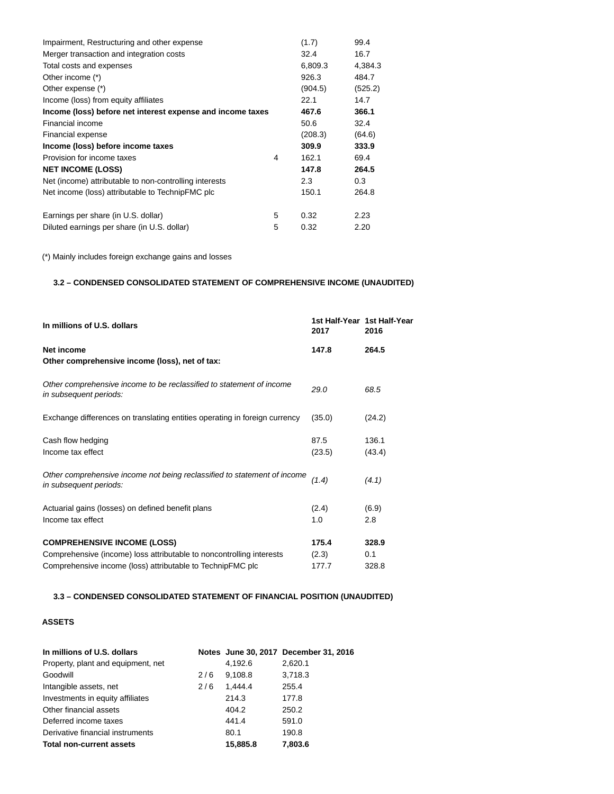| Impairment, Restructuring and other expense                |   | (1.7)   | 99.4    |
|------------------------------------------------------------|---|---------|---------|
| Merger transaction and integration costs                   |   | 32.4    | 16.7    |
| Total costs and expenses                                   |   | 6,809.3 | 4,384.3 |
| Other income (*)                                           |   | 926.3   | 484.7   |
| Other expense (*)                                          |   | (904.5) | (525.2) |
| Income (loss) from equity affiliates                       |   | 22.1    | 14.7    |
| Income (loss) before net interest expense and income taxes |   | 467.6   | 366.1   |
| Financial income                                           |   | 50.6    | 32.4    |
| Financial expense                                          |   | (208.3) | (64.6)  |
| Income (loss) before income taxes                          |   | 309.9   | 333.9   |
| Provision for income taxes                                 | 4 | 162.1   | 69.4    |
| <b>NET INCOME (LOSS)</b>                                   |   | 147.8   | 264.5   |
| Net (income) attributable to non-controlling interests     |   | 2.3     | 0.3     |
| Net income (loss) attributable to TechnipFMC plc           |   | 150.1   | 264.8   |
| Earnings per share (in U.S. dollar)                        | 5 | 0.32    | 2.23    |
| Diluted earnings per share (in U.S. dollar)                | 5 | 0.32    | 2.20    |

(\*) Mainly includes foreign exchange gains and losses

# **3.2 – CONDENSED CONSOLIDATED STATEMENT OF COMPREHENSIVE INCOME (UNAUDITED)**

| In millions of U.S. dollars                                                                                                        | 2017           | 1st Half-Year 1st Half-Year<br>2016 |
|------------------------------------------------------------------------------------------------------------------------------------|----------------|-------------------------------------|
| Net income<br>Other comprehensive income (loss), net of tax:                                                                       | 147.8          | 264.5                               |
| Other comprehensive income to be reclassified to statement of income<br>in subsequent periods:                                     | 29.0           | 68.5                                |
| Exchange differences on translating entities operating in foreign currency                                                         | (35.0)         | (24.2)                              |
| Cash flow hedging                                                                                                                  | 87.5           | 136.1                               |
| Income tax effect                                                                                                                  | (23.5)         | (43.4)                              |
| Other comprehensive income not being reclassified to statement of income<br>in subsequent periods:                                 | (1.4)          | (4.1)                               |
| Actuarial gains (losses) on defined benefit plans                                                                                  | (2.4)          | (6.9)                               |
| Income tax effect                                                                                                                  | 1.0            | 2.8                                 |
| <b>COMPREHENSIVE INCOME (LOSS)</b>                                                                                                 | 175.4          | 328.9                               |
| Comprehensive (income) loss attributable to noncontrolling interests<br>Comprehensive income (loss) attributable to TechnipFMC plc | (2.3)<br>177.7 | 0.1<br>328.8                        |
|                                                                                                                                    |                |                                     |

# **3.3 – CONDENSED CONSOLIDATED STATEMENT OF FINANCIAL POSITION (UNAUDITED)**

# **ASSETS**

| In millions of U.S. dollars        |     |          | Notes June 30, 2017 December 31, 2016 |
|------------------------------------|-----|----------|---------------------------------------|
| Property, plant and equipment, net |     | 4,192.6  | 2,620.1                               |
| Goodwill                           | 2/6 | 9.108.8  | 3,718.3                               |
| Intangible assets, net             | 2/6 | 1.444.4  | 255.4                                 |
| Investments in equity affiliates   |     | 214.3    | 177.8                                 |
| Other financial assets             |     | 404.2    | 250.2                                 |
| Deferred income taxes              |     | 441.4    | 591.0                                 |
| Derivative financial instruments   |     | 80.1     | 190.8                                 |
| Total non-current assets           |     | 15.885.8 | 7,803.6                               |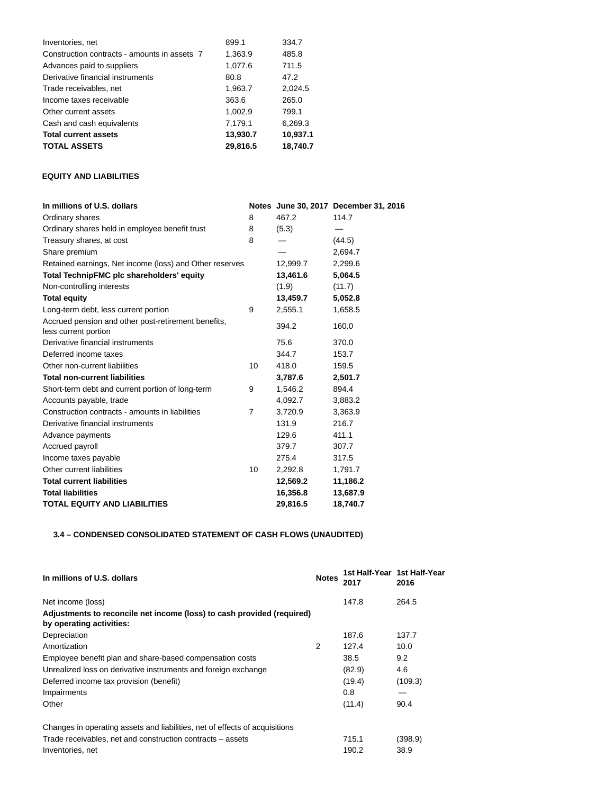| Inventories, net                             | 899.1    | 334.7    |
|----------------------------------------------|----------|----------|
| Construction contracts - amounts in assets 7 | 1,363.9  | 485.8    |
| Advances paid to suppliers                   | 1,077.6  | 711.5    |
| Derivative financial instruments             | 80.8     | 47.2     |
| Trade receivables, net                       | 1,963.7  | 2,024.5  |
| Income taxes receivable                      | 363.6    | 265.0    |
| Other current assets                         | 1,002.9  | 799.1    |
| Cash and cash equivalents                    | 7,179.1  | 6,269.3  |
| <b>Total current assets</b>                  | 13,930.7 | 10,937.1 |
| <b>TOTAL ASSETS</b>                          | 29,816.5 | 18.740.7 |

# **EQUITY AND LIABILITIES**

| In millions of U.S. dollars                                                 |                |          | Notes June 30, 2017 December 31, 2016 |
|-----------------------------------------------------------------------------|----------------|----------|---------------------------------------|
| Ordinary shares                                                             | 8              | 467.2    | 114.7                                 |
| Ordinary shares held in employee benefit trust                              | 8              | (5.3)    |                                       |
| Treasury shares, at cost                                                    | 8              |          | (44.5)                                |
| Share premium                                                               |                |          | 2,694.7                               |
| Retained earnings, Net income (loss) and Other reserves                     |                | 12,999.7 | 2,299.6                               |
| Total TechnipFMC plc shareholders' equity                                   |                | 13,461.6 | 5,064.5                               |
| Non-controlling interests                                                   |                | (1.9)    | (11.7)                                |
| <b>Total equity</b>                                                         |                | 13,459.7 | 5,052.8                               |
| Long-term debt, less current portion                                        | 9              | 2,555.1  | 1,658.5                               |
| Accrued pension and other post-retirement benefits,<br>less current portion |                | 394.2    | 160.0                                 |
| Derivative financial instruments                                            |                | 75.6     | 370.0                                 |
| Deferred income taxes                                                       |                | 344.7    | 153.7                                 |
| Other non-current liabilities                                               | 10             | 418.0    | 159.5                                 |
| <b>Total non-current liabilities</b>                                        |                | 3,787.6  | 2,501.7                               |
| Short-term debt and current portion of long-term                            | 9              | 1,546.2  | 894.4                                 |
| Accounts payable, trade                                                     |                | 4,092.7  | 3,883.2                               |
| Construction contracts - amounts in liabilities                             | $\overline{7}$ | 3,720.9  | 3,363.9                               |
| Derivative financial instruments                                            |                | 131.9    | 216.7                                 |
| Advance payments                                                            |                | 129.6    | 411.1                                 |
| Accrued payroll                                                             |                | 379.7    | 307.7                                 |
| Income taxes payable                                                        |                | 275.4    | 317.5                                 |
| Other current liabilities                                                   | 10             | 2,292.8  | 1,791.7                               |
| <b>Total current liabilities</b>                                            |                | 12,569.2 | 11,186.2                              |
| <b>Total liabilities</b>                                                    |                | 16,356.8 | 13,687.9                              |
| <b>TOTAL EQUITY AND LIABILITIES</b>                                         |                | 29,816.5 | 18,740.7                              |

# **3.4 – CONDENSED CONSOLIDATED STATEMENT OF CASH FLOWS (UNAUDITED)**

| In millions of U.S. dollars                                                                        | <b>Notes</b> | 1st Half-Year 1st Half-Year<br>2017 | 2016    |
|----------------------------------------------------------------------------------------------------|--------------|-------------------------------------|---------|
| Net income (loss)                                                                                  |              | 147.8                               | 264.5   |
| Adjustments to reconcile net income (loss) to cash provided (required)<br>by operating activities: |              |                                     |         |
| Depreciation                                                                                       |              | 187.6                               | 137.7   |
| Amortization                                                                                       | 2            | 127.4                               | 10.0    |
| Employee benefit plan and share-based compensation costs                                           |              | 38.5                                | 9.2     |
| Unrealized loss on derivative instruments and foreign exchange                                     |              | (82.9)                              | 4.6     |
| Deferred income tax provision (benefit)                                                            |              | (19.4)                              | (109.3) |
| Impairments                                                                                        |              | 0.8                                 |         |
| Other                                                                                              |              | (11.4)                              | 90.4    |
| Changes in operating assets and liabilities, net of effects of acquisitions                        |              |                                     |         |
| Trade receivables, net and construction contracts – assets                                         |              | 715.1                               | (398.9) |
| Inventories, net                                                                                   |              | 190.2                               | 38.9    |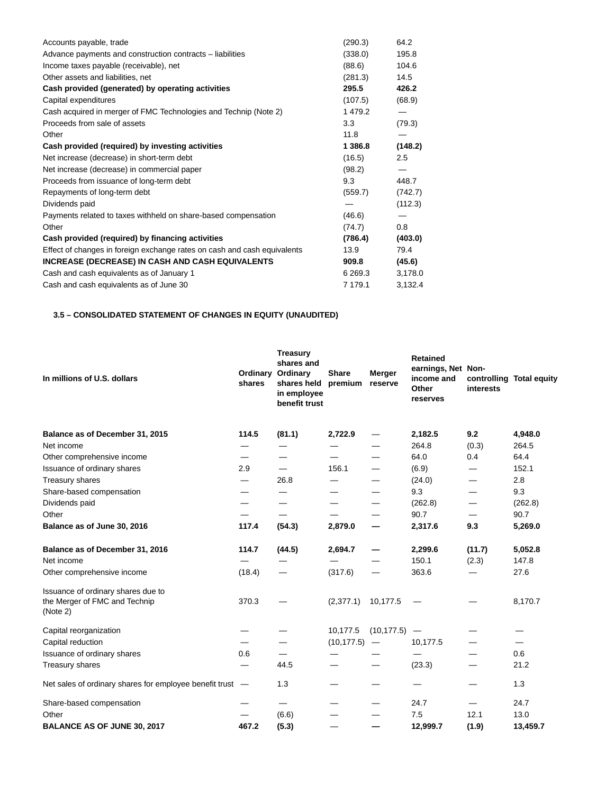| Accounts payable, trade                                                  | (290.3)   | 64.2    |
|--------------------------------------------------------------------------|-----------|---------|
| Advance payments and construction contracts – liabilities                | (338.0)   | 195.8   |
| Income taxes payable (receivable), net                                   | (88.6)    | 104.6   |
| Other assets and liabilities, net                                        | (281.3)   | 14.5    |
| Cash provided (generated) by operating activities                        | 295.5     | 426.2   |
| Capital expenditures                                                     | (107.5)   | (68.9)  |
| Cash acquired in merger of FMC Technologies and Technip (Note 2)         | 1479.2    |         |
| Proceeds from sale of assets                                             | 3.3       | (79.3)  |
| Other                                                                    | 11.8      |         |
| Cash provided (required) by investing activities                         | 1 3 8 6.8 | (148.2) |
| Net increase (decrease) in short-term debt                               | (16.5)    | 2.5     |
| Net increase (decrease) in commercial paper                              | (98.2)    |         |
| Proceeds from issuance of long-term debt                                 | 9.3       | 448.7   |
| Repayments of long-term debt                                             | (559.7)   | (742.7) |
| Dividends paid                                                           |           | (112.3) |
| Payments related to taxes withheld on share-based compensation           | (46.6)    |         |
| Other                                                                    | (74.7)    | 0.8     |
| Cash provided (required) by financing activities                         | (786.4)   | (403.0) |
| Effect of changes in foreign exchange rates on cash and cash equivalents | 13.9      | 79.4    |
| INCREASE (DECREASE) IN CASH AND CASH EQUIVALENTS                         | 909.8     | (45.6)  |
| Cash and cash equivalents as of January 1                                | 6 269.3   | 3,178.0 |
| Cash and cash equivalents as of June 30                                  | 7 179.1   | 3,132.4 |
|                                                                          |           |         |

# **3.5 – CONSOLIDATED STATEMENT OF CHANGES IN EQUITY (UNAUDITED)**

| In millions of U.S. dollars                                                     | Ordinary<br>shares       | <b>Treasury</b><br>shares and<br>Ordinary<br>shares held<br>in employee<br>benefit trust | <b>Share</b><br>premium | <b>Merger</b><br>reserve | <b>Retained</b><br>earnings, Net Non-<br>income and<br>Other<br>reserves | interests | controlling Total equity |
|---------------------------------------------------------------------------------|--------------------------|------------------------------------------------------------------------------------------|-------------------------|--------------------------|--------------------------------------------------------------------------|-----------|--------------------------|
| Balance as of December 31, 2015                                                 | 114.5                    | (81.1)                                                                                   | 2,722.9                 | —                        | 2,182.5                                                                  | 9.2       | 4,948.0                  |
| Net income                                                                      |                          |                                                                                          |                         |                          | 264.8                                                                    | (0.3)     | 264.5                    |
| Other comprehensive income                                                      |                          |                                                                                          |                         |                          | 64.0                                                                     | 0.4       | 64.4                     |
| Issuance of ordinary shares                                                     | 2.9                      | $\overline{\phantom{0}}$                                                                 | 156.1                   |                          | (6.9)                                                                    |           | 152.1                    |
| Treasury shares                                                                 | —                        | 26.8                                                                                     |                         |                          | (24.0)                                                                   | —         | 2.8                      |
| Share-based compensation                                                        | $\overline{\phantom{0}}$ |                                                                                          |                         |                          | 9.3                                                                      |           | 9.3                      |
| Dividends paid                                                                  |                          |                                                                                          |                         |                          | (262.8)                                                                  |           | (262.8)                  |
| Other                                                                           | —                        |                                                                                          |                         |                          | 90.7                                                                     |           | 90.7                     |
| Balance as of June 30, 2016                                                     | 117.4                    | (54.3)                                                                                   | 2,879.0                 |                          | 2,317.6                                                                  | 9.3       | 5,269.0                  |
| Balance as of December 31, 2016                                                 | 114.7                    | (44.5)                                                                                   | 2,694.7                 |                          | 2,299.6                                                                  | (11.7)    | 5,052.8                  |
| Net income                                                                      |                          |                                                                                          |                         |                          | 150.1                                                                    | (2.3)     | 147.8                    |
| Other comprehensive income                                                      | (18.4)                   |                                                                                          | (317.6)                 | $\overline{\phantom{0}}$ | 363.6                                                                    |           | 27.6                     |
| Issuance of ordinary shares due to<br>the Merger of FMC and Technip<br>(Note 2) | 370.3                    |                                                                                          | (2, 377.1)              | 10,177.5                 |                                                                          |           | 8,170.7                  |
| Capital reorganization                                                          |                          |                                                                                          | 10,177.5                | (10, 177.5)              |                                                                          |           |                          |
| Capital reduction                                                               |                          |                                                                                          | (10, 177.5)             | $\qquad \qquad -$        | 10,177.5                                                                 |           |                          |
| Issuance of ordinary shares                                                     | 0.6                      | —                                                                                        |                         |                          | —                                                                        |           | 0.6                      |
| Treasury shares                                                                 |                          | 44.5                                                                                     |                         |                          | (23.3)                                                                   |           | 21.2                     |
| Net sales of ordinary shares for employee benefit trust                         | $\overline{\phantom{m}}$ | 1.3                                                                                      |                         |                          |                                                                          |           | 1.3                      |
| Share-based compensation                                                        |                          | $\qquad \qquad \longleftarrow$                                                           |                         |                          | 24.7                                                                     |           | 24.7                     |
| Other                                                                           | —                        | (6.6)                                                                                    |                         |                          | 7.5                                                                      | 12.1      | 13.0                     |
| <b>BALANCE AS OF JUNE 30, 2017</b>                                              | 467.2                    | (5.3)                                                                                    |                         |                          | 12,999.7                                                                 | (1.9)     | 13,459.7                 |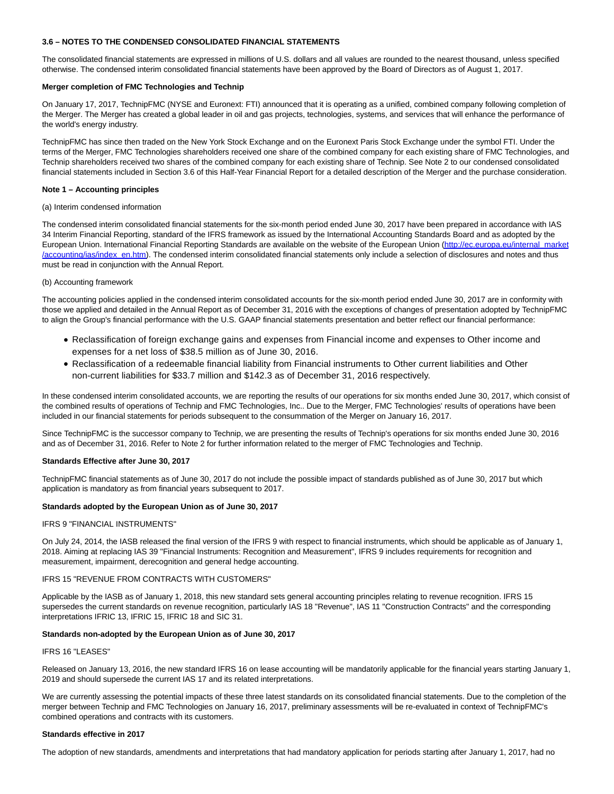# **3.6 – NOTES TO THE CONDENSED CONSOLIDATED FINANCIAL STATEMENTS**

The consolidated financial statements are expressed in millions of U.S. dollars and all values are rounded to the nearest thousand, unless specified otherwise. The condensed interim consolidated financial statements have been approved by the Board of Directors as of August 1, 2017.

## **Merger completion of FMC Technologies and Technip**

On January 17, 2017, TechnipFMC (NYSE and Euronext: FTI) announced that it is operating as a unified, combined company following completion of the Merger. The Merger has created a global leader in oil and gas projects, technologies, systems, and services that will enhance the performance of the world's energy industry.

TechnipFMC has since then traded on the New York Stock Exchange and on the Euronext Paris Stock Exchange under the symbol FTI. Under the terms of the Merger, FMC Technologies shareholders received one share of the combined company for each existing share of FMC Technologies, and Technip shareholders received two shares of the combined company for each existing share of Technip. See Note 2 to our condensed consolidated financial statements included in Section 3.6 of this Half-Year Financial Report for a detailed description of the Merger and the purchase consideration.

# **Note 1 – Accounting principles**

#### (a) Interim condensed information

The condensed interim consolidated financial statements for the six-month period ended June 30, 2017 have been prepared in accordance with IAS 34 Interim Financial Reporting, standard of the IFRS framework as issued by the International Accounting Standards Board and as adopted by the European Union. International Financial Reporting Standards are available on the website of the European Union [\(http://ec.europa.eu/internal\\_market](http://cts.businesswire.com/ct/CT?id=smartlink&url=http%3A%2F%2Fec.europa.eu%2Finternal_market%2Faccounting%2Fias%2Findex_en.htm&esheet=51641432&newsitemid=20170804005192&lan=en-US&anchor=http%3A%2F%2Fec.europa.eu%2Finternal_market%2Faccounting%2Fias%2Findex_en.htm&index=1&md5=28260527c841755df1e8f8537db3118f) /accounting/ias/index\_en.htm). The condensed interim consolidated financial statements only include a selection of disclosures and notes and thus must be read in conjunction with the Annual Report.

# (b) Accounting framework

The accounting policies applied in the condensed interim consolidated accounts for the six-month period ended June 30, 2017 are in conformity with those we applied and detailed in the Annual Report as of December 31, 2016 with the exceptions of changes of presentation adopted by TechnipFMC to align the Group's financial performance with the U.S. GAAP financial statements presentation and better reflect our financial performance:

- Reclassification of foreign exchange gains and expenses from Financial income and expenses to Other income and expenses for a net loss of \$38.5 million as of June 30, 2016.
- Reclassification of a redeemable financial liability from Financial instruments to Other current liabilities and Other non-current liabilities for \$33.7 million and \$142.3 as of December 31, 2016 respectively.

In these condensed interim consolidated accounts, we are reporting the results of our operations for six months ended June 30, 2017, which consist of the combined results of operations of Technip and FMC Technologies, Inc.. Due to the Merger, FMC Technologies' results of operations have been included in our financial statements for periods subsequent to the consummation of the Merger on January 16, 2017.

Since TechnipFMC is the successor company to Technip, we are presenting the results of Technip's operations for six months ended June 30, 2016 and as of December 31, 2016. Refer to Note 2 for further information related to the merger of FMC Technologies and Technip.

# **Standards Effective after June 30, 2017**

TechnipFMC financial statements as of June 30, 2017 do not include the possible impact of standards published as of June 30, 2017 but which application is mandatory as from financial years subsequent to 2017.

# **Standards adopted by the European Union as of June 30, 2017**

## IFRS 9 "FINANCIAL INSTRUMENTS"

On July 24, 2014, the IASB released the final version of the IFRS 9 with respect to financial instruments, which should be applicable as of January 1, 2018. Aiming at replacing IAS 39 "Financial Instruments: Recognition and Measurement", IFRS 9 includes requirements for recognition and measurement, impairment, derecognition and general hedge accounting.

#### IFRS 15 "REVENUE FROM CONTRACTS WITH CUSTOMERS"

Applicable by the IASB as of January 1, 2018, this new standard sets general accounting principles relating to revenue recognition. IFRS 15 supersedes the current standards on revenue recognition, particularly IAS 18 "Revenue", IAS 11 "Construction Contracts" and the corresponding interpretations IFRIC 13, IFRIC 15, IFRIC 18 and SIC 31.

#### **Standards non-adopted by the European Union as of June 30, 2017**

# IFRS 16 "LEASES"

Released on January 13, 2016, the new standard IFRS 16 on lease accounting will be mandatorily applicable for the financial years starting January 1, 2019 and should supersede the current IAS 17 and its related interpretations.

We are currently assessing the potential impacts of these three latest standards on its consolidated financial statements. Due to the completion of the merger between Technip and FMC Technologies on January 16, 2017, preliminary assessments will be re-evaluated in context of TechnipFMC's combined operations and contracts with its customers.

#### **Standards effective in 2017**

The adoption of new standards, amendments and interpretations that had mandatory application for periods starting after January 1, 2017, had no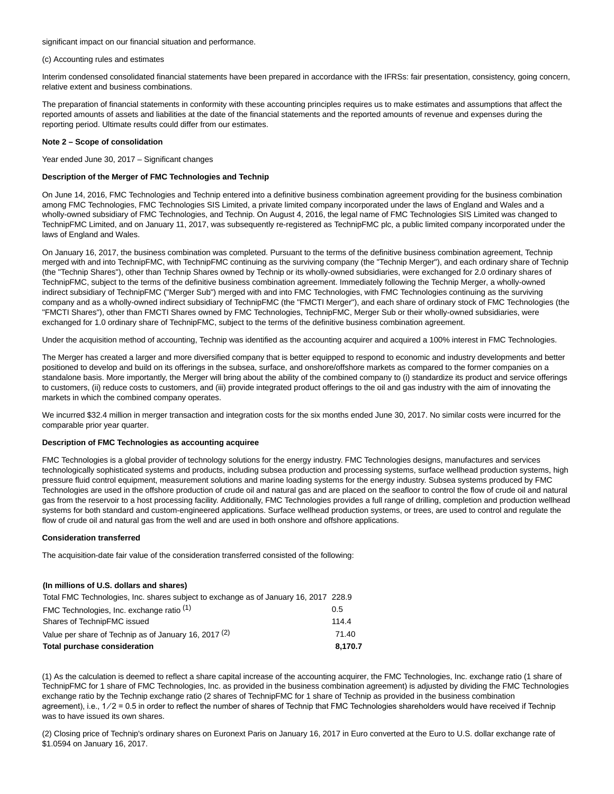significant impact on our financial situation and performance.

(c) Accounting rules and estimates

Interim condensed consolidated financial statements have been prepared in accordance with the IFRSs: fair presentation, consistency, going concern, relative extent and business combinations.

The preparation of financial statements in conformity with these accounting principles requires us to make estimates and assumptions that affect the reported amounts of assets and liabilities at the date of the financial statements and the reported amounts of revenue and expenses during the reporting period. Ultimate results could differ from our estimates.

### **Note 2 – Scope of consolidation**

Year ended June 30, 2017 – Significant changes

# **Description of the Merger of FMC Technologies and Technip**

On June 14, 2016, FMC Technologies and Technip entered into a definitive business combination agreement providing for the business combination among FMC Technologies, FMC Technologies SIS Limited, a private limited company incorporated under the laws of England and Wales and a wholly-owned subsidiary of FMC Technologies, and Technip. On August 4, 2016, the legal name of FMC Technologies SIS Limited was changed to TechnipFMC Limited, and on January 11, 2017, was subsequently re-registered as TechnipFMC plc, a public limited company incorporated under the laws of England and Wales.

On January 16, 2017, the business combination was completed. Pursuant to the terms of the definitive business combination agreement, Technip merged with and into TechnipFMC, with TechnipFMC continuing as the surviving company (the "Technip Merger"), and each ordinary share of Technip (the "Technip Shares"), other than Technip Shares owned by Technip or its wholly-owned subsidiaries, were exchanged for 2.0 ordinary shares of TechnipFMC, subject to the terms of the definitive business combination agreement. Immediately following the Technip Merger, a wholly-owned indirect subsidiary of TechnipFMC ("Merger Sub") merged with and into FMC Technologies, with FMC Technologies continuing as the surviving company and as a wholly-owned indirect subsidiary of TechnipFMC (the "FMCTI Merger"), and each share of ordinary stock of FMC Technologies (the "FMCTI Shares"), other than FMCTI Shares owned by FMC Technologies, TechnipFMC, Merger Sub or their wholly-owned subsidiaries, were exchanged for 1.0 ordinary share of TechnipFMC, subject to the terms of the definitive business combination agreement.

Under the acquisition method of accounting, Technip was identified as the accounting acquirer and acquired a 100% interest in FMC Technologies.

The Merger has created a larger and more diversified company that is better equipped to respond to economic and industry developments and better positioned to develop and build on its offerings in the subsea, surface, and onshore/offshore markets as compared to the former companies on a standalone basis. More importantly, the Merger will bring about the ability of the combined company to (i) standardize its product and service offerings to customers, (ii) reduce costs to customers, and (iii) provide integrated product offerings to the oil and gas industry with the aim of innovating the markets in which the combined company operates.

We incurred \$32.4 million in merger transaction and integration costs for the six months ended June 30, 2017. No similar costs were incurred for the comparable prior year quarter.

#### **Description of FMC Technologies as accounting acquiree**

FMC Technologies is a global provider of technology solutions for the energy industry. FMC Technologies designs, manufactures and services technologically sophisticated systems and products, including subsea production and processing systems, surface wellhead production systems, high pressure fluid control equipment, measurement solutions and marine loading systems for the energy industry. Subsea systems produced by FMC Technologies are used in the offshore production of crude oil and natural gas and are placed on the seafloor to control the flow of crude oil and natural gas from the reservoir to a host processing facility. Additionally, FMC Technologies provides a full range of drilling, completion and production wellhead systems for both standard and custom-engineered applications. Surface wellhead production systems, or trees, are used to control and regulate the flow of crude oil and natural gas from the well and are used in both onshore and offshore applications.

#### **Consideration transferred**

The acquisition-date fair value of the consideration transferred consisted of the following:

#### **(In millions of U.S. dollars and shares)**

| <b>Total purchase consideration</b>                                                  | 8.170.7 |
|--------------------------------------------------------------------------------------|---------|
| Value per share of Technip as of January 16, 2017 <sup>(2)</sup>                     | 71.40   |
| Shares of TechnipFMC issued                                                          | 114.4   |
| FMC Technologies, Inc. exchange ratio <sup>(1)</sup>                                 | 0.5     |
| Total FMC Technologies, Inc. shares subject to exchange as of January 16, 2017 228.9 |         |

(1) As the calculation is deemed to reflect a share capital increase of the accounting acquirer, the FMC Technologies, Inc. exchange ratio (1 share of TechnipFMC for 1 share of FMC Technologies, Inc. as provided in the business combination agreement) is adjusted by dividing the FMC Technologies exchange ratio by the Technip exchange ratio (2 shares of TechnipFMC for 1 share of Technip as provided in the business combination agreement), i.e.,  $1/2 = 0.5$  in order to reflect the number of shares of Technip that FMC Technologies shareholders would have received if Technip was to have issued its own shares.

(2) Closing price of Technip's ordinary shares on Euronext Paris on January 16, 2017 in Euro converted at the Euro to U.S. dollar exchange rate of \$1.0594 on January 16, 2017.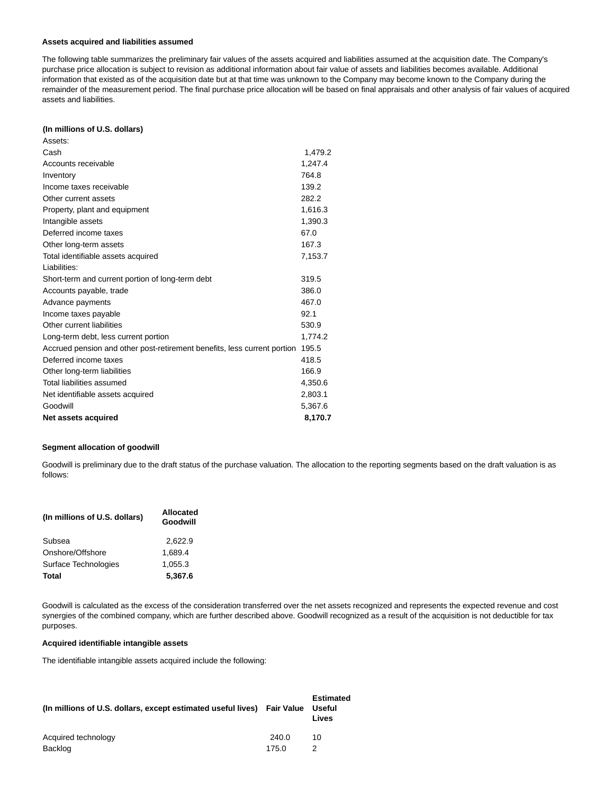#### **Assets acquired and liabilities assumed**

The following table summarizes the preliminary fair values of the assets acquired and liabilities assumed at the acquisition date. The Company's purchase price allocation is subject to revision as additional information about fair value of assets and liabilities becomes available. Additional information that existed as of the acquisition date but at that time was unknown to the Company may become known to the Company during the remainder of the measurement period. The final purchase price allocation will be based on final appraisals and other analysis of fair values of acquired assets and liabilities.

#### **(In millions of U.S. dollars)**

| Assets:                                                                  |         |
|--------------------------------------------------------------------------|---------|
| Cash                                                                     | 1,479.2 |
| Accounts receivable                                                      | 1,247.4 |
| Inventory                                                                | 764.8   |
| Income taxes receivable                                                  | 139.2   |
| Other current assets                                                     | 282.2   |
| Property, plant and equipment                                            | 1,616.3 |
| Intangible assets                                                        | 1,390.3 |
| Deferred income taxes                                                    | 67.0    |
| Other long-term assets                                                   | 167.3   |
| Total identifiable assets acquired                                       | 7,153.7 |
| Liabilities:                                                             |         |
| Short-term and current portion of long-term debt                         | 319.5   |
| Accounts payable, trade                                                  | 386.0   |
| Advance payments                                                         | 467.0   |
| Income taxes payable                                                     | 92.1    |
| Other current liabilities                                                | 530.9   |
| Long-term debt, less current portion                                     | 1,774.2 |
| Accrued pension and other post-retirement benefits, less current portion | 195.5   |
| Deferred income taxes                                                    | 418.5   |
| Other long-term liabilities                                              | 166.9   |
| Total liabilities assumed                                                | 4,350.6 |
| Net identifiable assets acquired                                         | 2,803.1 |
| Goodwill                                                                 | 5,367.6 |
| Net assets acquired                                                      | 8,170.7 |

# **Segment allocation of goodwill**

Goodwill is preliminary due to the draft status of the purchase valuation. The allocation to the reporting segments based on the draft valuation is as follows:

| (In millions of U.S. dollars) | <b>Allocated</b><br>Goodwill |  |  |
|-------------------------------|------------------------------|--|--|
| Subsea                        | 2.622.9                      |  |  |
| Onshore/Offshore              | 1.689.4                      |  |  |
| Surface Technologies          | 1.055.3                      |  |  |
| Total                         | 5,367.6                      |  |  |

Goodwill is calculated as the excess of the consideration transferred over the net assets recognized and represents the expected revenue and cost synergies of the combined company, which are further described above. Goodwill recognized as a result of the acquisition is not deductible for tax purposes.

### **Acquired identifiable intangible assets**

The identifiable intangible assets acquired include the following:

| (In millions of U.S. dollars, except estimated useful lives) Fair Value Useful |       | <b>Estimated</b><br>Lives |
|--------------------------------------------------------------------------------|-------|---------------------------|
| Acquired technology                                                            | 240.0 | 10                        |
| Backlog                                                                        | 175.0 |                           |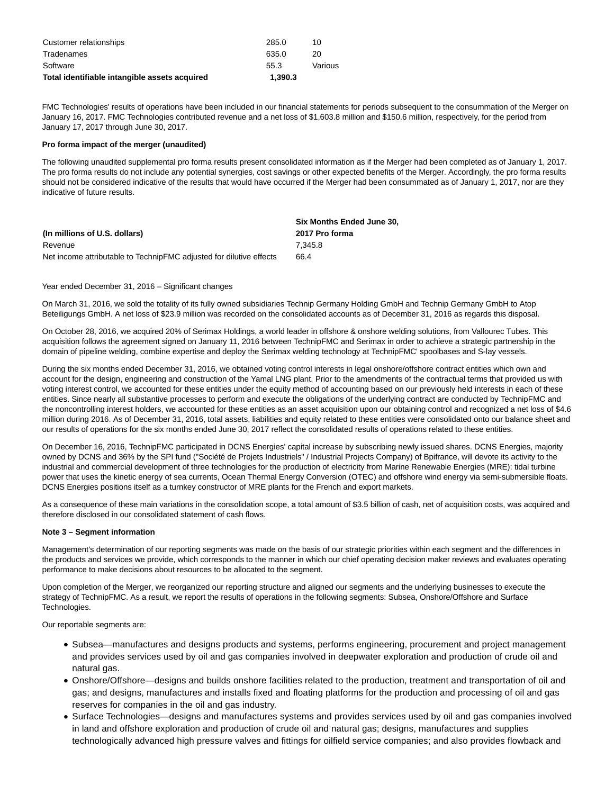| Total identifiable intangible assets acquired | 1.390.3 |         |
|-----------------------------------------------|---------|---------|
| Software                                      | 55.3    | Various |
| Tradenames                                    | 635.0   | 20      |
| Customer relationships                        | 285.0   | 10      |
|                                               |         |         |

FMC Technologies' results of operations have been included in our financial statements for periods subsequent to the consummation of the Merger on January 16, 2017. FMC Technologies contributed revenue and a net loss of \$1,603.8 million and \$150.6 million, respectively, for the period from January 17, 2017 through June 30, 2017.

# **Pro forma impact of the merger (unaudited)**

The following unaudited supplemental pro forma results present consolidated information as if the Merger had been completed as of January 1, 2017. The pro forma results do not include any potential synergies, cost savings or other expected benefits of the Merger. Accordingly, the pro forma results should not be considered indicative of the results that would have occurred if the Merger had been consummated as of January 1, 2017, nor are they indicative of future results.

|                                                                     | <b>Six Months Ended June 30.</b> |
|---------------------------------------------------------------------|----------------------------------|
| (In millions of U.S. dollars)                                       | 2017 Pro forma                   |
| Revenue                                                             | 7.345.8                          |
| Net income attributable to TechnipFMC adjusted for dilutive effects | 66.4                             |

# Year ended December 31, 2016 – Significant changes

On March 31, 2016, we sold the totality of its fully owned subsidiaries Technip Germany Holding GmbH and Technip Germany GmbH to Atop Beteiligungs GmbH. A net loss of \$23.9 million was recorded on the consolidated accounts as of December 31, 2016 as regards this disposal.

On October 28, 2016, we acquired 20% of Serimax Holdings, a world leader in offshore & onshore welding solutions, from Vallourec Tubes. This acquisition follows the agreement signed on January 11, 2016 between TechnipFMC and Serimax in order to achieve a strategic partnership in the domain of pipeline welding, combine expertise and deploy the Serimax welding technology at TechnipFMC' spoolbases and S-lay vessels.

During the six months ended December 31, 2016, we obtained voting control interests in legal onshore/offshore contract entities which own and account for the design, engineering and construction of the Yamal LNG plant. Prior to the amendments of the contractual terms that provided us with voting interest control, we accounted for these entities under the equity method of accounting based on our previously held interests in each of these entities. Since nearly all substantive processes to perform and execute the obligations of the underlying contract are conducted by TechnipFMC and the noncontrolling interest holders, we accounted for these entities as an asset acquisition upon our obtaining control and recognized a net loss of \$4.6 million during 2016. As of December 31, 2016, total assets, liabilities and equity related to these entities were consolidated onto our balance sheet and our results of operations for the six months ended June 30, 2017 reflect the consolidated results of operations related to these entities.

On December 16, 2016, TechnipFMC participated in DCNS Energies' capital increase by subscribing newly issued shares. DCNS Energies, majority owned by DCNS and 36% by the SPI fund ("Société de Projets Industriels" / Industrial Projects Company) of Bpifrance, will devote its activity to the industrial and commercial development of three technologies for the production of electricity from Marine Renewable Energies (MRE): tidal turbine power that uses the kinetic energy of sea currents, Ocean Thermal Energy Conversion (OTEC) and offshore wind energy via semi-submersible floats. DCNS Energies positions itself as a turnkey constructor of MRE plants for the French and export markets.

As a consequence of these main variations in the consolidation scope, a total amount of \$3.5 billion of cash, net of acquisition costs, was acquired and therefore disclosed in our consolidated statement of cash flows.

#### **Note 3 – Segment information**

Management's determination of our reporting segments was made on the basis of our strategic priorities within each segment and the differences in the products and services we provide, which corresponds to the manner in which our chief operating decision maker reviews and evaluates operating performance to make decisions about resources to be allocated to the segment.

Upon completion of the Merger, we reorganized our reporting structure and aligned our segments and the underlying businesses to execute the strategy of TechnipFMC. As a result, we report the results of operations in the following segments: Subsea, Onshore/Offshore and Surface Technologies.

Our reportable segments are:

- Subsea—manufactures and designs products and systems, performs engineering, procurement and project management and provides services used by oil and gas companies involved in deepwater exploration and production of crude oil and natural gas.
- Onshore/Offshore—designs and builds onshore facilities related to the production, treatment and transportation of oil and gas; and designs, manufactures and installs fixed and floating platforms for the production and processing of oil and gas reserves for companies in the oil and gas industry.
- Surface Technologies—designs and manufactures systems and provides services used by oil and gas companies involved in land and offshore exploration and production of crude oil and natural gas; designs, manufactures and supplies technologically advanced high pressure valves and fittings for oilfield service companies; and also provides flowback and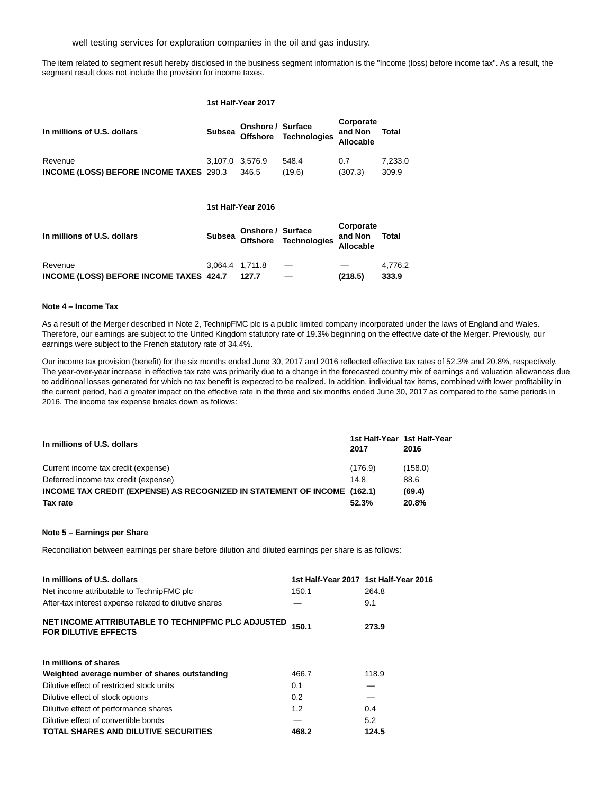well testing services for exploration companies in the oil and gas industry.

The item related to segment result hereby disclosed in the business segment information is the "Income (loss) before income tax". As a result, the segment result does not include the provision for income taxes.

## **1st Half-Year 2017**

| In millions of U.S. dollars                    |                 | Onshore / Surface | Subsea Offshore Technologies <sup>a</sup> | Corporate<br>and Non<br>Allocable | Total   |
|------------------------------------------------|-----------------|-------------------|-------------------------------------------|-----------------------------------|---------|
| Revenue                                        | 3.107.0 3.576.9 |                   | 548.4                                     | 0.7                               | 7.233.0 |
| <b>INCOME (LOSS) BEFORE INCOME TAXES 290.3</b> |                 | 346.5             | (19.6)                                    | (307.3)                           | 309.9   |

# **1st Half-Year 2016**

| In millions of U.S. dollars             |                 | Onshore / Surface | Subsea Offshore Technologies <sup>a</sup> | Corporate<br>and Non<br>Allocable | Total   |
|-----------------------------------------|-----------------|-------------------|-------------------------------------------|-----------------------------------|---------|
| Revenue                                 | 3.064.4 1.711.8 |                   |                                           |                                   | 4.776.2 |
| INCOME (LOSS) BEFORE INCOME TAXES 424.7 |                 | 127.7             |                                           | (218.5)                           | 333.9   |

# **Note 4 – Income Tax**

As a result of the Merger described in Note 2, TechnipFMC plc is a public limited company incorporated under the laws of England and Wales. Therefore, our earnings are subject to the United Kingdom statutory rate of 19.3% beginning on the effective date of the Merger. Previously, our earnings were subject to the French statutory rate of 34.4%.

Our income tax provision (benefit) for the six months ended June 30, 2017 and 2016 reflected effective tax rates of 52.3% and 20.8%, respectively. The year-over-year increase in effective tax rate was primarily due to a change in the forecasted country mix of earnings and valuation allowances due to additional losses generated for which no tax benefit is expected to be realized. In addition, individual tax items, combined with lower profitability in the current period, had a greater impact on the effective rate in the three and six months ended June 30, 2017 as compared to the same periods in 2016. The income tax expense breaks down as follows:

| In millions of U.S. dollars                                              | 2017    | 1st Half-Year 1st Half-Year<br>2016 |
|--------------------------------------------------------------------------|---------|-------------------------------------|
| Current income tax credit (expense)                                      | (176.9) | (158.0)                             |
| Deferred income tax credit (expense)                                     | 14.8    | 88.6                                |
| INCOME TAX CREDIT (EXPENSE) AS RECOGNIZED IN STATEMENT OF INCOME (162.1) |         | (69.4)                              |
| Tax rate                                                                 | 52.3%   | 20.8%                               |

## **Note 5 – Earnings per Share**

Reconciliation between earnings per share before dilution and diluted earnings per share is as follows:

| In millions of U.S. dollars                                                       |       | 1st Half-Year 2017 1st Half-Year 2016 |
|-----------------------------------------------------------------------------------|-------|---------------------------------------|
| Net income attributable to TechnipFMC plc                                         | 150.1 | 264.8                                 |
| After-tax interest expense related to dilutive shares                             |       | 9.1                                   |
| NET INCOME ATTRIBUTABLE TO TECHNIPFMC PLC ADJUSTED<br><b>FOR DILUTIVE EFFECTS</b> | 150.1 | 273.9                                 |
| In millions of shares                                                             |       |                                       |
| Weighted average number of shares outstanding                                     | 466.7 | 118.9                                 |
| Dilutive effect of restricted stock units                                         | 0.1   |                                       |
| Dilutive effect of stock options                                                  | 0.2   |                                       |
| Dilutive effect of performance shares                                             | 1.2   | 0.4                                   |
| Dilutive effect of convertible bonds                                              |       | 5.2                                   |
| <b>TOTAL SHARES AND DILUTIVE SECURITIES</b>                                       | 468.2 | 124.5                                 |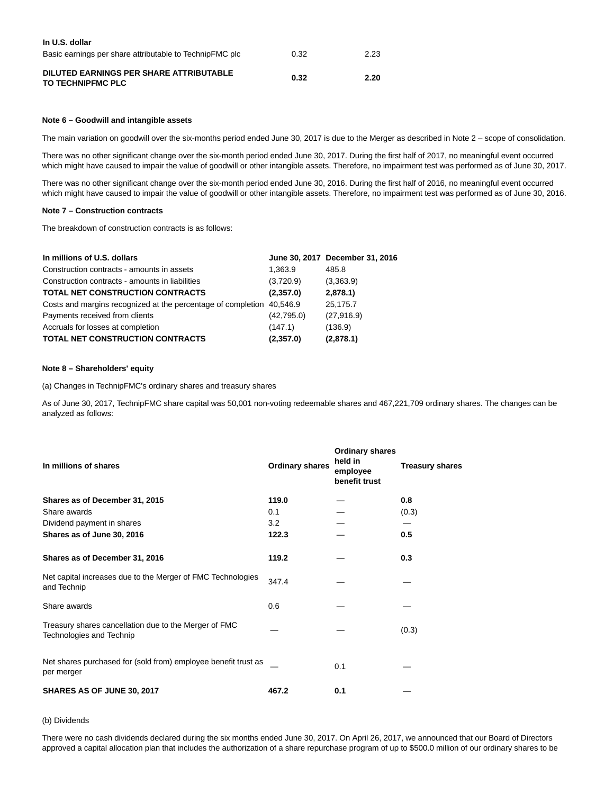| In U.S. dollar                                               |      |      |
|--------------------------------------------------------------|------|------|
| Basic earnings per share attributable to TechnipFMC plc      | 0.32 | 2.23 |
| DILUTED EARNINGS PER SHARE ATTRIBUTABLE<br>TO TECHNIPFMC PLC | 0.32 | 2.20 |

# **Note 6 – Goodwill and intangible assets**

The main variation on goodwill over the six-months period ended June 30, 2017 is due to the Merger as described in Note 2 – scope of consolidation.

There was no other significant change over the six-month period ended June 30, 2017. During the first half of 2017, no meaningful event occurred which might have caused to impair the value of goodwill or other intangible assets. Therefore, no impairment test was performed as of June 30, 2017.

There was no other significant change over the six-month period ended June 30, 2016. During the first half of 2016, no meaningful event occurred which might have caused to impair the value of goodwill or other intangible assets. Therefore, no impairment test was performed as of June 30, 2016.

#### **Note 7 – Construction contracts**

The breakdown of construction contracts is as follows:

| In millions of U.S. dollars                                           |            | June 30, 2017 December 31, 2016 |
|-----------------------------------------------------------------------|------------|---------------------------------|
| Construction contracts - amounts in assets                            | 1.363.9    | 485.8                           |
| Construction contracts - amounts in liabilities                       | (3,720.9)  | (3,363.9)                       |
| <b>TOTAL NET CONSTRUCTION CONTRACTS</b>                               | (2,357.0)  | 2,878.1                         |
| Costs and margins recognized at the percentage of completion 40,546.9 |            | 25,175.7                        |
| Payments received from clients                                        | (42,795.0) | (27,916.9)                      |
| Accruals for losses at completion                                     | (147.1)    | (136.9)                         |
| <b>TOTAL NET CONSTRUCTION CONTRACTS</b>                               | (2,357.0)  | (2,878.1)                       |

# **Note 8 – Shareholders' equity**

(a) Changes in TechnipFMC's ordinary shares and treasury shares

As of June 30, 2017, TechnipFMC share capital was 50,001 non-voting redeemable shares and 467,221,709 ordinary shares. The changes can be analyzed as follows:

| In millions of shares                                                             | <b>Ordinary shares</b> | <b>Ordinary shares</b><br>held in<br>employee<br>benefit trust | <b>Treasury shares</b> |
|-----------------------------------------------------------------------------------|------------------------|----------------------------------------------------------------|------------------------|
| Shares as of December 31, 2015                                                    | 119.0                  |                                                                | 0.8                    |
| Share awards                                                                      | 0.1                    |                                                                | (0.3)                  |
| Dividend payment in shares                                                        | 3.2                    |                                                                |                        |
| Shares as of June 30, 2016                                                        | 122.3                  |                                                                | 0.5                    |
| Shares as of December 31, 2016                                                    | 119.2                  |                                                                | 0.3                    |
| Net capital increases due to the Merger of FMC Technologies<br>and Technip        | 347.4                  |                                                                |                        |
| Share awards                                                                      | 0.6                    |                                                                |                        |
| Treasury shares cancellation due to the Merger of FMC<br>Technologies and Technip |                        |                                                                | (0.3)                  |
| Net shares purchased for (sold from) employee benefit trust as<br>per merger      |                        | 0.1                                                            |                        |
| SHARES AS OF JUNE 30, 2017                                                        | 467.2                  | 0.1                                                            |                        |

## (b) Dividends

There were no cash dividends declared during the six months ended June 30, 2017. On April 26, 2017, we announced that our Board of Directors approved a capital allocation plan that includes the authorization of a share repurchase program of up to \$500.0 million of our ordinary shares to be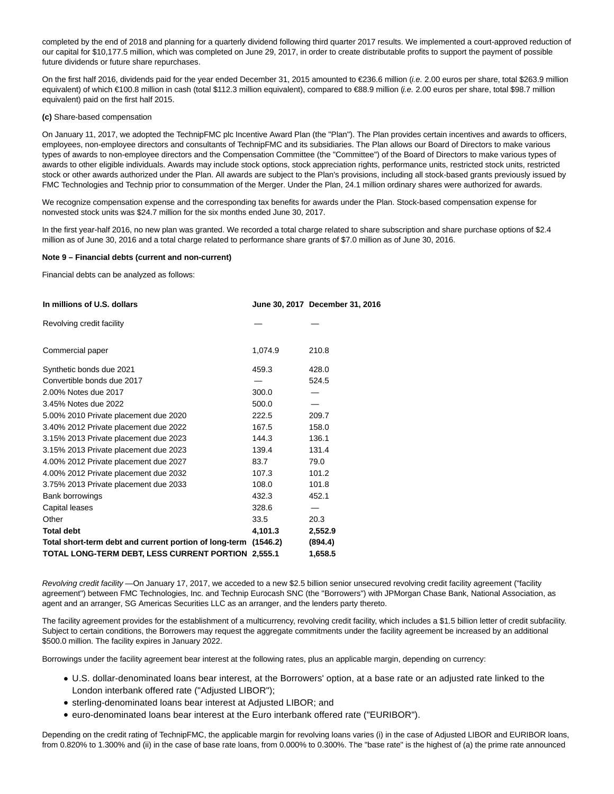completed by the end of 2018 and planning for a quarterly dividend following third quarter 2017 results. We implemented a court-approved reduction of our capital for \$10,177.5 million, which was completed on June 29, 2017, in order to create distributable profits to support the payment of possible future dividends or future share repurchases.

On the first half 2016, dividends paid for the year ended December 31, 2015 amounted to €236.6 million (i.e. 2.00 euros per share, total \$263.9 million equivalent) of which €100.8 million in cash (total \$112.3 million equivalent), compared to €88.9 million (.e. 2.00 euros per share, total \$98.7 million equivalent) paid on the first half 2015.

## **(c)** Share-based compensation

On January 11, 2017, we adopted the TechnipFMC plc Incentive Award Plan (the "Plan"). The Plan provides certain incentives and awards to officers, employees, non-employee directors and consultants of TechnipFMC and its subsidiaries. The Plan allows our Board of Directors to make various types of awards to non-employee directors and the Compensation Committee (the "Committee") of the Board of Directors to make various types of awards to other eligible individuals. Awards may include stock options, stock appreciation rights, performance units, restricted stock units, restricted stock or other awards authorized under the Plan. All awards are subject to the Plan's provisions, including all stock-based grants previously issued by FMC Technologies and Technip prior to consummation of the Merger. Under the Plan, 24.1 million ordinary shares were authorized for awards.

We recognize compensation expense and the corresponding tax benefits for awards under the Plan. Stock-based compensation expense for nonvested stock units was \$24.7 million for the six months ended June 30, 2017.

In the first year-half 2016, no new plan was granted. We recorded a total charge related to share subscription and share purchase options of \$2.4 million as of June 30, 2016 and a total charge related to performance share grants of \$7.0 million as of June 30, 2016.

#### **Note 9 – Financial debts (current and non-current)**

Financial debts can be analyzed as follows:

| In millions of U.S. dollars                                     |         | June 30, 2017 December 31, 2016 |
|-----------------------------------------------------------------|---------|---------------------------------|
| Revolving credit facility                                       |         |                                 |
| Commercial paper                                                | 1,074.9 | 210.8                           |
| Synthetic bonds due 2021                                        | 459.3   | 428.0                           |
| Convertible bonds due 2017                                      |         | 524.5                           |
| 2.00% Notes due 2017                                            | 300.0   |                                 |
| 3.45% Notes due 2022                                            | 500.0   |                                 |
| 5.00% 2010 Private placement due 2020                           | 222.5   | 209.7                           |
| 3.40% 2012 Private placement due 2022                           | 167.5   | 158.0                           |
| 3.15% 2013 Private placement due 2023                           | 144.3   | 136.1                           |
| 3.15% 2013 Private placement due 2023                           | 139.4   | 131.4                           |
| 4.00% 2012 Private placement due 2027                           | 83.7    | 79.0                            |
| 4.00% 2012 Private placement due 2032                           | 107.3   | 101.2                           |
| 3.75% 2013 Private placement due 2033                           | 108.0   | 101.8                           |
| Bank borrowings                                                 | 432.3   | 452.1                           |
| Capital leases                                                  | 328.6   |                                 |
| Other                                                           | 33.5    | 20.3                            |
| <b>Total debt</b>                                               | 4,101.3 | 2,552.9                         |
| Total short-term debt and current portion of long-term (1546.2) |         | (894.4)                         |
| TOTAL LONG-TERM DEBT, LESS CURRENT PORTION 2,555.1              |         | 1,658.5                         |

Revolving credit facility —On January 17, 2017, we acceded to a new \$2.5 billion senior unsecured revolving credit facility agreement ("facility agreement") between FMC Technologies, Inc. and Technip Eurocash SNC (the "Borrowers") with JPMorgan Chase Bank, National Association, as agent and an arranger, SG Americas Securities LLC as an arranger, and the lenders party thereto.

The facility agreement provides for the establishment of a multicurrency, revolving credit facility, which includes a \$1.5 billion letter of credit subfacility. Subject to certain conditions, the Borrowers may request the aggregate commitments under the facility agreement be increased by an additional \$500.0 million. The facility expires in January 2022.

Borrowings under the facility agreement bear interest at the following rates, plus an applicable margin, depending on currency:

- U.S. dollar-denominated loans bear interest, at the Borrowers' option, at a base rate or an adjusted rate linked to the London interbank offered rate ("Adjusted LIBOR");
- sterling-denominated loans bear interest at Adjusted LIBOR; and
- **euro-denominated loans bear interest at the Euro interbank offered rate ("EURIBOR").**

Depending on the credit rating of TechnipFMC, the applicable margin for revolving loans varies (i) in the case of Adjusted LIBOR and EURIBOR loans, from 0.820% to 1.300% and (ii) in the case of base rate loans, from 0.000% to 0.300%. The "base rate" is the highest of (a) the prime rate announced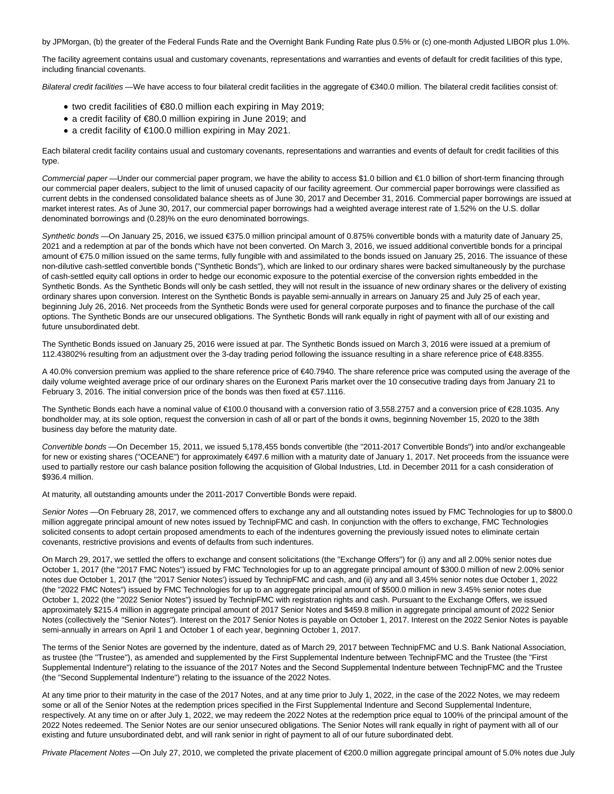by JPMorgan, (b) the greater of the Federal Funds Rate and the Overnight Bank Funding Rate plus 0.5% or (c) one-month Adjusted LIBOR plus 1.0%.

The facility agreement contains usual and customary covenants, representations and warranties and events of default for credit facilities of this type, including financial covenants.

Bilateral credit facilities —We have access to four bilateral credit facilities in the aggregate of €340.0 million. The bilateral credit facilities consist of:

- two credit facilities of €80.0 million each expiring in May 2019;
- a credit facility of €80.0 million expiring in June 2019; and
- a credit facility of €100.0 million expiring in May 2021.

Each bilateral credit facility contains usual and customary covenants, representations and warranties and events of default for credit facilities of this type.

Commercial paper—Under our commercial paper program, we have the ability to access \$1.0 billion and €1.0 billion of short-term financing through our commercial paper dealers, subject to the limit of unused capacity of our facility agreement. Our commercial paper borrowings were classified as current debts in the condensed consolidated balance sheets as of June 30, 2017 and December 31, 2016. Commercial paper borrowings are issued at market interest rates. As of June 30, 2017, our commercial paper borrowings had a weighted average interest rate of 1.52% on the U.S. dollar denominated borrowings and (0.28)% on the euro denominated borrowings.

Synthetic bonds —On January 25, 2016, we issued €375.0 million principal amount of 0.875% convertible bonds with a maturity date of January 25, 2021 and a redemption at par of the bonds which have not been converted. On March 3, 2016, we issued additional convertible bonds for a principal amount of €75.0 million issued on the same terms, fully fungible with and assimilated to the bonds issued on January 25, 2016. The issuance of these non-dilutive cash-settled convertible bonds ("Synthetic Bonds"), which are linked to our ordinary shares were backed simultaneously by the purchase of cash-settled equity call options in order to hedge our economic exposure to the potential exercise of the conversion rights embedded in the Synthetic Bonds. As the Synthetic Bonds will only be cash settled, they will not result in the issuance of new ordinary shares or the delivery of existing ordinary shares upon conversion. Interest on the Synthetic Bonds is payable semi-annually in arrears on January 25 and July 25 of each year, beginning July 26, 2016. Net proceeds from the Synthetic Bonds were used for general corporate purposes and to finance the purchase of the call options. The Synthetic Bonds are our unsecured obligations. The Synthetic Bonds will rank equally in right of payment with all of our existing and future unsubordinated debt.

The Synthetic Bonds issued on January 25, 2016 were issued at par. The Synthetic Bonds issued on March 3, 2016 were issued at a premium of 112.43802% resulting from an adjustment over the 3-day trading period following the issuance resulting in a share reference price of €48.8355.

A 40.0% conversion premium was applied to the share reference price of €40.7940. The share reference price was computed using the average of the daily volume weighted average price of our ordinary shares on the Euronext Paris market over the 10 consecutive trading days from January 21 to February 3, 2016. The initial conversion price of the bonds was then fixed at €57.1116.

The Synthetic Bonds each have a nominal value of €100.0 thousand with a conversion ratio of 3,558.2757 and a conversion price of €28.1035. Any bondholder may, at its sole option, request the conversion in cash of all or part of the bonds it owns, beginning November 15, 2020 to the 38th business day before the maturity date.

Convertible bonds —On December 15, 2011, we issued 5,178,455 bonds convertible (the "2011-2017 Convertible Bonds") into and/or exchangeable for new or existing shares ("OCEANE") for approximately €497.6 million with a maturity date of January 1, 2017. Net proceeds from the issuance were used to partially restore our cash balance position following the acquisition of Global Industries, Ltd. in December 2011 for a cash consideration of \$936.4 million.

At maturity, all outstanding amounts under the 2011-2017 Convertible Bonds were repaid.

Senior Notes —On February 28, 2017, we commenced offers to exchange any and all outstanding notes issued by FMC Technologies for up to \$800.0 million aggregate principal amount of new notes issued by TechnipFMC and cash. In conjunction with the offers to exchange, FMC Technologies solicited consents to adopt certain proposed amendments to each of the indentures governing the previously issued notes to eliminate certain covenants, restrictive provisions and events of defaults from such indentures.

On March 29, 2017, we settled the offers to exchange and consent solicitations (the "Exchange Offers") for (i) any and all 2.00% senior notes due October 1, 2017 (the "2017 FMC Notes") issued by FMC Technologies for up to an aggregate principal amount of \$300.0 million of new 2.00% senior notes due October 1, 2017 (the "2017 Senior Notes') issued by TechnipFMC and cash, and (ii) any and all 3.45% senior notes due October 1, 2022 (the "2022 FMC Notes") issued by FMC Technologies for up to an aggregate principal amount of \$500.0 million in new 3.45% senior notes due October 1, 2022 (the "2022 Senior Notes") issued by TechnipFMC with registration rights and cash. Pursuant to the Exchange Offers, we issued approximately \$215.4 million in aggregate principal amount of 2017 Senior Notes and \$459.8 million in aggregate principal amount of 2022 Senior Notes (collectively the "Senior Notes"). Interest on the 2017 Senior Notes is payable on October 1, 2017. Interest on the 2022 Senior Notes is payable semi-annually in arrears on April 1 and October 1 of each year, beginning October 1, 2017.

The terms of the Senior Notes are governed by the indenture, dated as of March 29, 2017 between TechnipFMC and U.S. Bank National Association, as trustee (the "Trustee"), as amended and supplemented by the First Supplemental Indenture between TechnipFMC and the Trustee (the "First Supplemental Indenture") relating to the issuance of the 2017 Notes and the Second Supplemental Indenture between TechnipFMC and the Trustee (the "Second Supplemental Indenture") relating to the issuance of the 2022 Notes.

At any time prior to their maturity in the case of the 2017 Notes, and at any time prior to July 1, 2022, in the case of the 2022 Notes, we may redeem some or all of the Senior Notes at the redemption prices specified in the First Supplemental Indenture and Second Supplemental Indenture, respectively. At any time on or after July 1, 2022, we may redeem the 2022 Notes at the redemption price equal to 100% of the principal amount of the 2022 Notes redeemed. The Senior Notes are our senior unsecured obligations. The Senior Notes will rank equally in right of payment with all of our existing and future unsubordinated debt, and will rank senior in right of payment to all of our future subordinated debt.

Private Placement Notes —On July 27, 2010, we completed the private placement of €200.0 million aggregate principal amount of 5.0% notes due July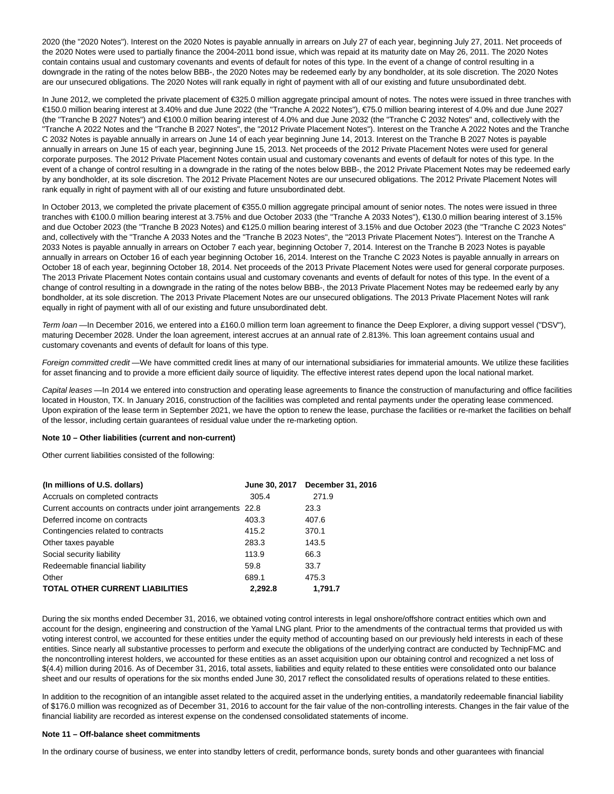2020 (the "2020 Notes"). Interest on the 2020 Notes is payable annually in arrears on July 27 of each year, beginning July 27, 2011. Net proceeds of the 2020 Notes were used to partially finance the 2004-2011 bond issue, which was repaid at its maturity date on May 26, 2011. The 2020 Notes contain contains usual and customary covenants and events of default for notes of this type. In the event of a change of control resulting in a downgrade in the rating of the notes below BBB-, the 2020 Notes may be redeemed early by any bondholder, at its sole discretion. The 2020 Notes are our unsecured obligations. The 2020 Notes will rank equally in right of payment with all of our existing and future unsubordinated debt.

In June 2012, we completed the private placement of €325.0 million aggregate principal amount of notes. The notes were issued in three tranches with €150.0 million bearing interest at 3.40% and due June 2022 (the "Tranche A 2022 Notes"), €75.0 million bearing interest of 4.0% and due June 2027 (the "Tranche B 2027 Notes") and €100.0 million bearing interest of 4.0% and due June 2032 (the "Tranche C 2032 Notes" and, collectively with the "Tranche A 2022 Notes and the "Tranche B 2027 Notes", the "2012 Private Placement Notes"). Interest on the Tranche A 2022 Notes and the Tranche C 2032 Notes is payable annually in arrears on June 14 of each year beginning June 14, 2013. Interest on the Tranche B 2027 Notes is payable annually in arrears on June 15 of each year, beginning June 15, 2013. Net proceeds of the 2012 Private Placement Notes were used for general corporate purposes. The 2012 Private Placement Notes contain usual and customary covenants and events of default for notes of this type. In the event of a change of control resulting in a downgrade in the rating of the notes below BBB-, the 2012 Private Placement Notes may be redeemed early by any bondholder, at its sole discretion. The 2012 Private Placement Notes are our unsecured obligations. The 2012 Private Placement Notes will rank equally in right of payment with all of our existing and future unsubordinated debt.

In October 2013, we completed the private placement of €355.0 million aggregate principal amount of senior notes. The notes were issued in three tranches with €100.0 million bearing interest at 3.75% and due October 2033 (the "Tranche A 2033 Notes"), €130.0 million bearing interest of 3.15% and due October 2023 (the "Tranche B 2023 Notes) and €125.0 million bearing interest of 3.15% and due October 2023 (the "Tranche C 2023 Notes" and, collectively with the "Tranche A 2033 Notes and the "Tranche B 2023 Notes", the "2013 Private Placement Notes"). Interest on the Tranche A 2033 Notes is payable annually in arrears on October 7 each year, beginning October 7, 2014. Interest on the Tranche B 2023 Notes is payable annually in arrears on October 16 of each year beginning October 16, 2014. Interest on the Tranche C 2023 Notes is payable annually in arrears on October 18 of each year, beginning October 18, 2014. Net proceeds of the 2013 Private Placement Notes were used for general corporate purposes. The 2013 Private Placement Notes contain contains usual and customary covenants and events of default for notes of this type. In the event of a change of control resulting in a downgrade in the rating of the notes below BBB-, the 2013 Private Placement Notes may be redeemed early by any bondholder, at its sole discretion. The 2013 Private Placement Notes are our unsecured obligations. The 2013 Private Placement Notes will rank equally in right of payment with all of our existing and future unsubordinated debt.

Term loan - In December 2016, we entered into a £160.0 million term loan agreement to finance the Deep Explorer, a diving support vessel ("DSV"), maturing December 2028. Under the loan agreement, interest accrues at an annual rate of 2.813%. This loan agreement contains usual and customary covenants and events of default for loans of this type.

Foreign committed credit—We have committed credit lines at many of our international subsidiaries for immaterial amounts. We utilize these facilities for asset financing and to provide a more efficient daily source of liquidity. The effective interest rates depend upon the local national market.

Capital leases —In 2014 we entered into construction and operating lease agreements to finance the construction of manufacturing and office facilities located in Houston, TX. In January 2016, construction of the facilities was completed and rental payments under the operating lease commenced. Upon expiration of the lease term in September 2021, we have the option to renew the lease, purchase the facilities or re-market the facilities on behalf of the lessor, including certain guarantees of residual value under the re-marketing option.

#### **Note 10 – Other liabilities (current and non-current)**

Other current liabilities consisted of the following:

| (In millions of U.S. dollars)                               | June 30, 2017 | December 31, 2016 |
|-------------------------------------------------------------|---------------|-------------------|
| Accruals on completed contracts                             | 305.4         | 271.9             |
| Current accounts on contracts under joint arrangements 22.8 |               | 23.3              |
| Deferred income on contracts                                | 403.3         | 407.6             |
| Contingencies related to contracts                          | 415.2         | 370.1             |
| Other taxes payable                                         | 283.3         | 143.5             |
| Social security liability                                   | 113.9         | 66.3              |
| Redeemable financial liability                              | 59.8          | 33.7              |
| Other                                                       | 689.1         | 475.3             |
| <b>TOTAL OTHER CURRENT LIABILITIES</b>                      | 2,292.8       | 1.791.7           |

During the six months ended December 31, 2016, we obtained voting control interests in legal onshore/offshore contract entities which own and account for the design, engineering and construction of the Yamal LNG plant. Prior to the amendments of the contractual terms that provided us with voting interest control, we accounted for these entities under the equity method of accounting based on our previously held interests in each of these entities. Since nearly all substantive processes to perform and execute the obligations of the underlying contract are conducted by TechnipFMC and the noncontrolling interest holders, we accounted for these entities as an asset acquisition upon our obtaining control and recognized a net loss of \$(4.4) million during 2016. As of December 31, 2016, total assets, liabilities and equity related to these entities were consolidated onto our balance sheet and our results of operations for the six months ended June 30, 2017 reflect the consolidated results of operations related to these entities.

In addition to the recognition of an intangible asset related to the acquired asset in the underlying entities, a mandatorily redeemable financial liability of \$176.0 million was recognized as of December 31, 2016 to account for the fair value of the non-controlling interests. Changes in the fair value of the financial liability are recorded as interest expense on the condensed consolidated statements of income.

#### **Note 11 – Off-balance sheet commitments**

In the ordinary course of business, we enter into standby letters of credit, performance bonds, surety bonds and other guarantees with financial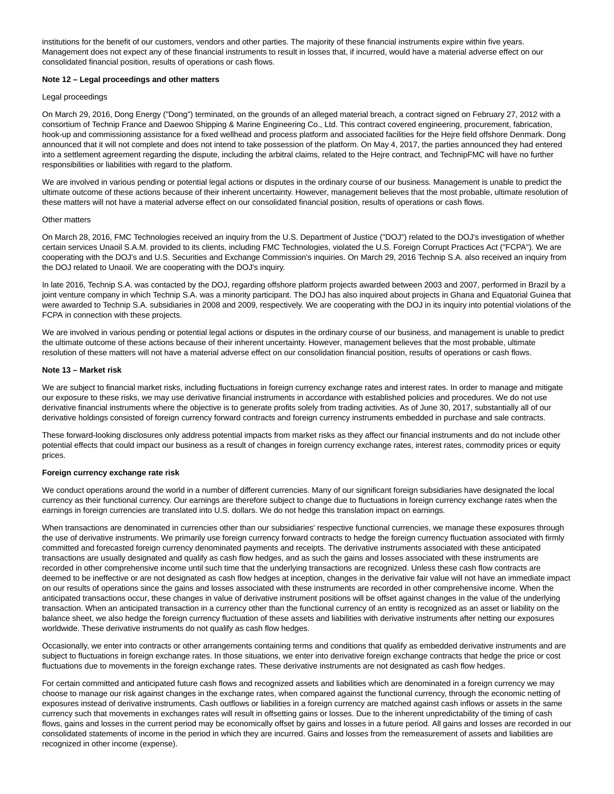institutions for the benefit of our customers, vendors and other parties. The majority of these financial instruments expire within five years. Management does not expect any of these financial instruments to result in losses that, if incurred, would have a material adverse effect on our consolidated financial position, results of operations or cash flows.

# **Note 12 – Legal proceedings and other matters**

# Legal proceedings

On March 29, 2016, Dong Energy ("Dong") terminated, on the grounds of an alleged material breach, a contract signed on February 27, 2012 with a consortium of Technip France and Daewoo Shipping & Marine Engineering Co., Ltd. This contract covered engineering, procurement, fabrication, hook-up and commissioning assistance for a fixed wellhead and process platform and associated facilities for the Hejre field offshore Denmark. Dong announced that it will not complete and does not intend to take possession of the platform. On May 4, 2017, the parties announced they had entered into a settlement agreement regarding the dispute, including the arbitral claims, related to the Hejre contract, and TechnipFMC will have no further responsibilities or liabilities with regard to the platform.

We are involved in various pending or potential legal actions or disputes in the ordinary course of our business. Management is unable to predict the ultimate outcome of these actions because of their inherent uncertainty. However, management believes that the most probable, ultimate resolution of these matters will not have a material adverse effect on our consolidated financial position, results of operations or cash flows.

## Other matters

On March 28, 2016, FMC Technologies received an inquiry from the U.S. Department of Justice ("DOJ") related to the DOJ's investigation of whether certain services Unaoil S.A.M. provided to its clients, including FMC Technologies, violated the U.S. Foreign Corrupt Practices Act ("FCPA"). We are cooperating with the DOJ's and U.S. Securities and Exchange Commission's inquiries. On March 29, 2016 Technip S.A. also received an inquiry from the DOJ related to Unaoil. We are cooperating with the DOJ's inquiry.

In late 2016, Technip S.A. was contacted by the DOJ, regarding offshore platform projects awarded between 2003 and 2007, performed in Brazil by a joint venture company in which Technip S.A. was a minority participant. The DOJ has also inquired about projects in Ghana and Equatorial Guinea that were awarded to Technip S.A. subsidiaries in 2008 and 2009, respectively. We are cooperating with the DOJ in its inquiry into potential violations of the FCPA in connection with these projects.

We are involved in various pending or potential legal actions or disputes in the ordinary course of our business, and management is unable to predict the ultimate outcome of these actions because of their inherent uncertainty. However, management believes that the most probable, ultimate resolution of these matters will not have a material adverse effect on our consolidation financial position, results of operations or cash flows.

#### **Note 13 – Market risk**

We are subject to financial market risks, including fluctuations in foreign currency exchange rates and interest rates. In order to manage and mitigate our exposure to these risks, we may use derivative financial instruments in accordance with established policies and procedures. We do not use derivative financial instruments where the objective is to generate profits solely from trading activities. As of June 30, 2017, substantially all of our derivative holdings consisted of foreign currency forward contracts and foreign currency instruments embedded in purchase and sale contracts.

These forward-looking disclosures only address potential impacts from market risks as they affect our financial instruments and do not include other potential effects that could impact our business as a result of changes in foreign currency exchange rates, interest rates, commodity prices or equity prices.

#### **Foreign currency exchange rate risk**

We conduct operations around the world in a number of different currencies. Many of our significant foreign subsidiaries have designated the local currency as their functional currency. Our earnings are therefore subject to change due to fluctuations in foreign currency exchange rates when the earnings in foreign currencies are translated into U.S. dollars. We do not hedge this translation impact on earnings.

When transactions are denominated in currencies other than our subsidiaries' respective functional currencies, we manage these exposures through the use of derivative instruments. We primarily use foreign currency forward contracts to hedge the foreign currency fluctuation associated with firmly committed and forecasted foreign currency denominated payments and receipts. The derivative instruments associated with these anticipated transactions are usually designated and qualify as cash flow hedges, and as such the gains and losses associated with these instruments are recorded in other comprehensive income until such time that the underlying transactions are recognized. Unless these cash flow contracts are deemed to be ineffective or are not designated as cash flow hedges at inception, changes in the derivative fair value will not have an immediate impact on our results of operations since the gains and losses associated with these instruments are recorded in other comprehensive income. When the anticipated transactions occur, these changes in value of derivative instrument positions will be offset against changes in the value of the underlying transaction. When an anticipated transaction in a currency other than the functional currency of an entity is recognized as an asset or liability on the balance sheet, we also hedge the foreign currency fluctuation of these assets and liabilities with derivative instruments after netting our exposures worldwide. These derivative instruments do not qualify as cash flow hedges.

Occasionally, we enter into contracts or other arrangements containing terms and conditions that qualify as embedded derivative instruments and are subject to fluctuations in foreign exchange rates. In those situations, we enter into derivative foreign exchange contracts that hedge the price or cost fluctuations due to movements in the foreign exchange rates. These derivative instruments are not designated as cash flow hedges.

For certain committed and anticipated future cash flows and recognized assets and liabilities which are denominated in a foreign currency we may choose to manage our risk against changes in the exchange rates, when compared against the functional currency, through the economic netting of exposures instead of derivative instruments. Cash outflows or liabilities in a foreign currency are matched against cash inflows or assets in the same currency such that movements in exchanges rates will result in offsetting gains or losses. Due to the inherent unpredictability of the timing of cash flows, gains and losses in the current period may be economically offset by gains and losses in a future period. All gains and losses are recorded in our consolidated statements of income in the period in which they are incurred. Gains and losses from the remeasurement of assets and liabilities are recognized in other income (expense).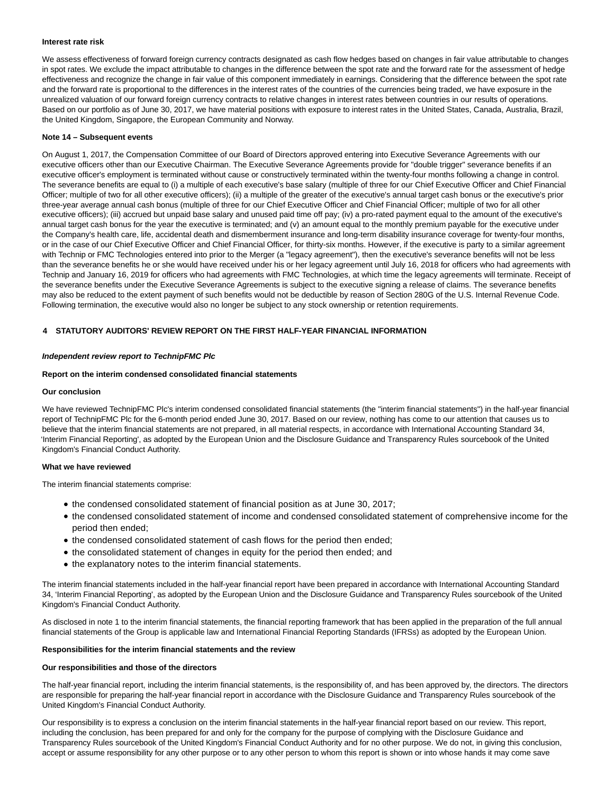# **Interest rate risk**

We assess effectiveness of forward foreign currency contracts designated as cash flow hedges based on changes in fair value attributable to changes in spot rates. We exclude the impact attributable to changes in the difference between the spot rate and the forward rate for the assessment of hedge effectiveness and recognize the change in fair value of this component immediately in earnings. Considering that the difference between the spot rate and the forward rate is proportional to the differences in the interest rates of the countries of the currencies being traded, we have exposure in the unrealized valuation of our forward foreign currency contracts to relative changes in interest rates between countries in our results of operations. Based on our portfolio as of June 30, 2017, we have material positions with exposure to interest rates in the United States, Canada, Australia, Brazil, the United Kingdom, Singapore, the European Community and Norway.

#### **Note 14 – Subsequent events**

On August 1, 2017, the Compensation Committee of our Board of Directors approved entering into Executive Severance Agreements with our executive officers other than our Executive Chairman. The Executive Severance Agreements provide for "double trigger" severance benefits if an executive officer's employment is terminated without cause or constructively terminated within the twenty-four months following a change in control. The severance benefits are equal to (i) a multiple of each executive's base salary (multiple of three for our Chief Executive Officer and Chief Financial Officer; multiple of two for all other executive officers); (ii) a multiple of the greater of the executive's annual target cash bonus or the executive's prior three-year average annual cash bonus (multiple of three for our Chief Executive Officer and Chief Financial Officer; multiple of two for all other executive officers); (iii) accrued but unpaid base salary and unused paid time off pay; (iv) a pro-rated payment equal to the amount of the executive's annual target cash bonus for the year the executive is terminated; and (v) an amount equal to the monthly premium payable for the executive under the Company's health care, life, accidental death and dismemberment insurance and long-term disability insurance coverage for twenty-four months, or in the case of our Chief Executive Officer and Chief Financial Officer, for thirty-six months. However, if the executive is party to a similar agreement with Technip or FMC Technologies entered into prior to the Merger (a "legacy agreement"), then the executive's severance benefits will not be less than the severance benefits he or she would have received under his or her legacy agreement until July 16, 2018 for officers who had agreements with Technip and January 16, 2019 for officers who had agreements with FMC Technologies, at which time the legacy agreements will terminate. Receipt of the severance benefits under the Executive Severance Agreements is subject to the executive signing a release of claims. The severance benefits may also be reduced to the extent payment of such benefits would not be deductible by reason of Section 280G of the U.S. Internal Revenue Code. Following termination, the executive would also no longer be subject to any stock ownership or retention requirements.

# **4 STATUTORY AUDITORS' REVIEW REPORT ON THE FIRST HALF-YEAR FINANCIAL INFORMATION**

# **Independent review report to TechnipFMC Plc**

# **Report on the interim condensed consolidated financial statements**

# **Our conclusion**

We have reviewed TechnipFMC Plc's interim condensed consolidated financial statements (the "interim financial statements") in the half-year financial report of TechnipFMC Plc for the 6-month period ended June 30, 2017. Based on our review, nothing has come to our attention that causes us to believe that the interim financial statements are not prepared, in all material respects, in accordance with International Accounting Standard 34, 'Interim Financial Reporting', as adopted by the European Union and the Disclosure Guidance and Transparency Rules sourcebook of the United Kingdom's Financial Conduct Authority.

#### **What we have reviewed**

The interim financial statements comprise:

- the condensed consolidated statement of financial position as at June 30, 2017;
- the condensed consolidated statement of income and condensed consolidated statement of comprehensive income for the period then ended;
- the condensed consolidated statement of cash flows for the period then ended;
- the consolidated statement of changes in equity for the period then ended; and
- $\bullet$  the explanatory notes to the interim financial statements.

The interim financial statements included in the half-year financial report have been prepared in accordance with International Accounting Standard 34, 'Interim Financial Reporting', as adopted by the European Union and the Disclosure Guidance and Transparency Rules sourcebook of the United Kingdom's Financial Conduct Authority.

As disclosed in note 1 to the interim financial statements, the financial reporting framework that has been applied in the preparation of the full annual financial statements of the Group is applicable law and International Financial Reporting Standards (IFRSs) as adopted by the European Union.

#### **Responsibilities for the interim financial statements and the review**

#### **Our responsibilities and those of the directors**

The half-year financial report, including the interim financial statements, is the responsibility of, and has been approved by, the directors. The directors are responsible for preparing the half-year financial report in accordance with the Disclosure Guidance and Transparency Rules sourcebook of the United Kingdom's Financial Conduct Authority.

Our responsibility is to express a conclusion on the interim financial statements in the half-year financial report based on our review. This report, including the conclusion, has been prepared for and only for the company for the purpose of complying with the Disclosure Guidance and Transparency Rules sourcebook of the United Kingdom's Financial Conduct Authority and for no other purpose. We do not, in giving this conclusion, accept or assume responsibility for any other purpose or to any other person to whom this report is shown or into whose hands it may come save